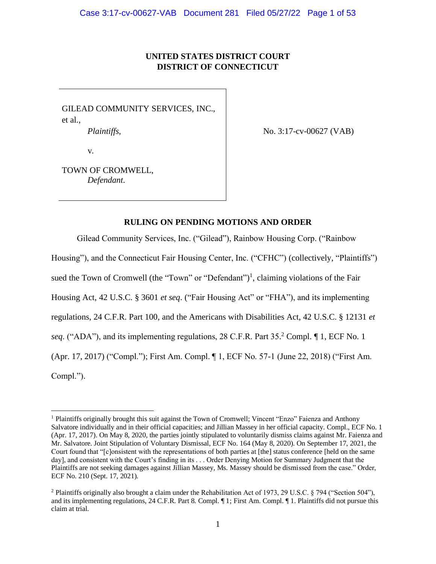# **UNITED STATES DISTRICT COURT DISTRICT OF CONNECTICUT**

GILEAD COMMUNITY SERVICES, INC., et al.,

*Plaintiffs*,

No. 3:17-cv-00627 (VAB)

v.

TOWN OF CROMWELL, *Defendant*.

# **RULING ON PENDING MOTIONS AND ORDER**

Gilead Community Services, Inc. ("Gilead"), Rainbow Housing Corp. ("Rainbow

Housing"), and the Connecticut Fair Housing Center, Inc. ("CFHC") (collectively, "Plaintiffs")

sued the Town of Cromwell (the "Town" or "Defendant")<sup>1</sup>, claiming violations of the Fair

Housing Act, 42 U.S.C. § 3601 *et seq*. ("Fair Housing Act" or "FHA"), and its implementing

regulations, 24 C.F.R. Part 100, and the Americans with Disabilities Act, 42 U.S.C. § 12131 *et* 

*seq*. ("ADA"), and its implementing regulations, 28 C.F.R. Part 35. <sup>2</sup> Compl. ¶ 1, ECF No. 1

(Apr. 17, 2017) ("Compl."); First Am. Compl. ¶ 1, ECF No. 57-1 (June 22, 2018) ("First Am.

Compl.").

<sup>&</sup>lt;sup>1</sup> Plaintiffs originally brought this suit against the Town of Cromwell; Vincent "Enzo" Faienza and Anthony Salvatore individually and in their official capacities; and Jillian Massey in her official capacity. Compl., ECF No. 1 (Apr. 17, 2017). On May 8, 2020, the parties jointly stipulated to voluntarily dismiss claims against Mr. Faienza and Mr. Salvatore. Joint Stipulation of Voluntary Dismissal, ECF No. 164 (May 8, 2020). On September 17, 2021, the Court found that "[c]onsistent with the representations of both parties at [the] status conference [held on the same day], and consistent with the Court's finding in its . . . Order Denying Motion for Summary Judgment that the Plaintiffs are not seeking damages against Jillian Massey, Ms. Massey should be dismissed from the case." Order, ECF No. 210 (Sept. 17, 2021).

<sup>2</sup> Plaintiffs originally also brought a claim under the Rehabilitation Act of 1973, 29 U.S.C. § 794 ("Section 504"), and its implementing regulations, 24 C.F.R. Part 8. Compl. ¶ 1; First Am. Compl. ¶ 1. Plaintiffs did not pursue this claim at trial.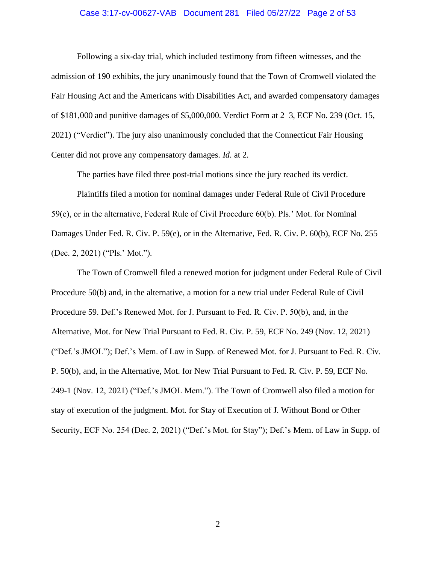### Case 3:17-cv-00627-VAB Document 281 Filed 05/27/22 Page 2 of 53

Following a six-day trial, which included testimony from fifteen witnesses, and the admission of 190 exhibits, the jury unanimously found that the Town of Cromwell violated the Fair Housing Act and the Americans with Disabilities Act, and awarded compensatory damages of \$181,000 and punitive damages of \$5,000,000. Verdict Form at 2–3, ECF No. 239 (Oct. 15, 2021) ("Verdict"). The jury also unanimously concluded that the Connecticut Fair Housing Center did not prove any compensatory damages. *Id*. at 2.

The parties have filed three post-trial motions since the jury reached its verdict.

Plaintiffs filed a motion for nominal damages under Federal Rule of Civil Procedure 59(e), or in the alternative, Federal Rule of Civil Procedure 60(b). Pls.' Mot. for Nominal Damages Under Fed. R. Civ. P. 59(e), or in the Alternative, Fed. R. Civ. P. 60(b), ECF No. 255 (Dec. 2, 2021) ("Pls.' Mot.").

The Town of Cromwell filed a renewed motion for judgment under Federal Rule of Civil Procedure 50(b) and, in the alternative, a motion for a new trial under Federal Rule of Civil Procedure 59. Def.'s Renewed Mot. for J. Pursuant to Fed. R. Civ. P. 50(b), and, in the Alternative, Mot. for New Trial Pursuant to Fed. R. Civ. P. 59, ECF No. 249 (Nov. 12, 2021) ("Def.'s JMOL"); Def.'s Mem. of Law in Supp. of Renewed Mot. for J. Pursuant to Fed. R. Civ. P. 50(b), and, in the Alternative, Mot. for New Trial Pursuant to Fed. R. Civ. P. 59, ECF No. 249-1 (Nov. 12, 2021) ("Def.'s JMOL Mem."). The Town of Cromwell also filed a motion for stay of execution of the judgment. Mot. for Stay of Execution of J. Without Bond or Other Security, ECF No. 254 (Dec. 2, 2021) ("Def.'s Mot. for Stay"); Def.'s Mem. of Law in Supp. of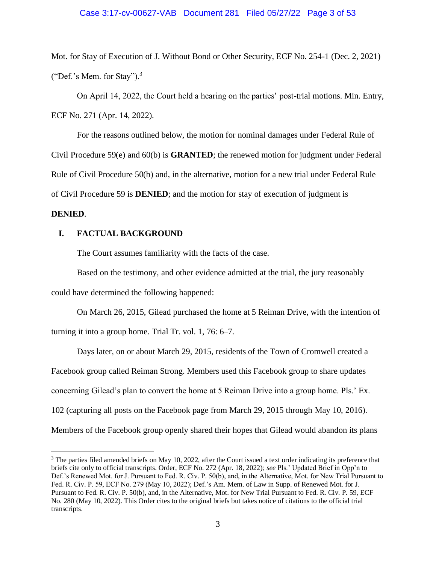### Case 3:17-cv-00627-VAB Document 281 Filed 05/27/22 Page 3 of 53

Mot. for Stay of Execution of J. Without Bond or Other Security, ECF No. 254-1 (Dec. 2, 2021) ("Def.'s Mem. for Stay").<sup>3</sup>

On April 14, 2022, the Court held a hearing on the parties' post-trial motions. Min. Entry, ECF No. 271 (Apr. 14, 2022).

For the reasons outlined below, the motion for nominal damages under Federal Rule of Civil Procedure 59(e) and 60(b) is **GRANTED**; the renewed motion for judgment under Federal Rule of Civil Procedure 50(b) and, in the alternative, motion for a new trial under Federal Rule of Civil Procedure 59 is **DENIED**; and the motion for stay of execution of judgment is

# **DENIED**.

## **I. FACTUAL BACKGROUND**

The Court assumes familiarity with the facts of the case.

Based on the testimony, and other evidence admitted at the trial, the jury reasonably could have determined the following happened:

On March 26, 2015, Gilead purchased the home at 5 Reiman Drive, with the intention of turning it into a group home. Trial Tr. vol. 1, 76: 6–7.

Days later, on or about March 29, 2015, residents of the Town of Cromwell created a Facebook group called Reiman Strong. Members used this Facebook group to share updates concerning Gilead's plan to convert the home at 5 Reiman Drive into a group home. Pls.' Ex. 102 (capturing all posts on the Facebook page from March 29, 2015 through May 10, 2016). Members of the Facebook group openly shared their hopes that Gilead would abandon its plans

<sup>&</sup>lt;sup>3</sup> The parties filed amended briefs on May 10, 2022, after the Court issued a text order indicating its preference that briefs cite only to official transcripts. Order, ECF No. 272 (Apr. 18, 2022); *see* Pls.' Updated Brief in Opp'n to Def.'s Renewed Mot. for J. Pursuant to Fed. R. Civ. P. 50(b), and, in the Alternative, Mot. for New Trial Pursuant to Fed. R. Civ. P. 59, ECF No. 279 (May 10, 2022); Def.'s Am. Mem. of Law in Supp. of Renewed Mot. for J. Pursuant to Fed. R. Civ. P. 50(b), and, in the Alternative, Mot. for New Trial Pursuant to Fed. R. Civ. P. 59, ECF No. 280 (May 10, 2022). This Order cites to the original briefs but takes notice of citations to the official trial transcripts.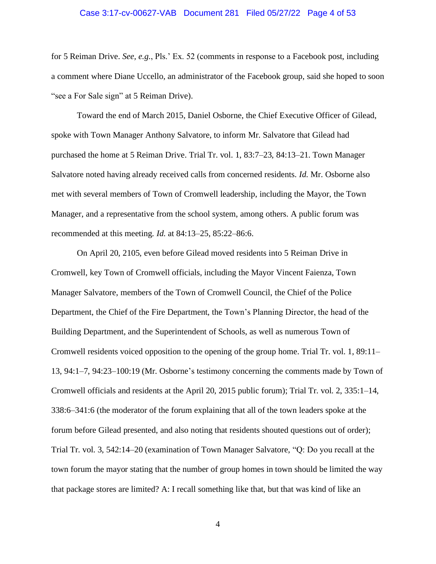### Case 3:17-cv-00627-VAB Document 281 Filed 05/27/22 Page 4 of 53

for 5 Reiman Drive. *See, e.g.*, Pls.' Ex. 52 (comments in response to a Facebook post, including a comment where Diane Uccello, an administrator of the Facebook group, said she hoped to soon "see a For Sale sign" at 5 Reiman Drive).

Toward the end of March 2015, Daniel Osborne, the Chief Executive Officer of Gilead, spoke with Town Manager Anthony Salvatore, to inform Mr. Salvatore that Gilead had purchased the home at 5 Reiman Drive. Trial Tr. vol. 1, 83:7–23, 84:13–21. Town Manager Salvatore noted having already received calls from concerned residents. *Id*. Mr. Osborne also met with several members of Town of Cromwell leadership, including the Mayor, the Town Manager, and a representative from the school system, among others. A public forum was recommended at this meeting. *Id*. at 84:13–25, 85:22–86:6.

On April 20, 2105, even before Gilead moved residents into 5 Reiman Drive in Cromwell, key Town of Cromwell officials, including the Mayor Vincent Faienza, Town Manager Salvatore, members of the Town of Cromwell Council, the Chief of the Police Department, the Chief of the Fire Department, the Town's Planning Director, the head of the Building Department, and the Superintendent of Schools, as well as numerous Town of Cromwell residents voiced opposition to the opening of the group home. Trial Tr. vol. 1, 89:11– 13, 94:1–7, 94:23–100:19 (Mr. Osborne's testimony concerning the comments made by Town of Cromwell officials and residents at the April 20, 2015 public forum); Trial Tr. vol. 2, 335:1–14, 338:6–341:6 (the moderator of the forum explaining that all of the town leaders spoke at the forum before Gilead presented, and also noting that residents shouted questions out of order); Trial Tr. vol. 3, 542:14–20 (examination of Town Manager Salvatore, "Q: Do you recall at the town forum the mayor stating that the number of group homes in town should be limited the way that package stores are limited? A: I recall something like that, but that was kind of like an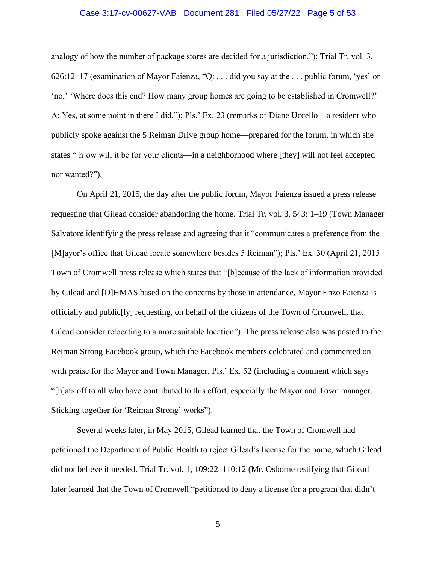### Case 3:17-cv-00627-VAB Document 281 Filed 05/27/22 Page 5 of 53

analogy of how the number of package stores are decided for a jurisdiction."); Trial Tr. vol. 3, 626:12–17 (examination of Mayor Faienza, "Q: . . . did you say at the . . . public forum, 'yes' or 'no,' 'Where does this end? How many group homes are going to be established in Cromwell?' A: Yes, at some point in there I did."); Pls.' Ex. 23 (remarks of Diane Uccello—a resident who publicly spoke against the 5 Reiman Drive group home—prepared for the forum, in which she states "[h]ow will it be for your clients—in a neighborhood where [they] will not feel accepted nor wanted?").

On April 21, 2015, the day after the public forum, Mayor Faienza issued a press release requesting that Gilead consider abandoning the home. Trial Tr. vol. 3, 543: 1–19 (Town Manager Salvatore identifying the press release and agreeing that it "communicates a preference from the [M]ayor's office that Gilead locate somewhere besides 5 Reiman"); Pls.' Ex. 30 (April 21, 2015 Town of Cromwell press release which states that "[b]ecause of the lack of information provided by Gilead and [D]HMAS based on the concerns by those in attendance, Mayor Enzo Faienza is officially and public[ly] requesting, on behalf of the citizens of the Town of Cromwell, that Gilead consider relocating to a more suitable location"). The press release also was posted to the Reiman Strong Facebook group, which the Facebook members celebrated and commented on with praise for the Mayor and Town Manager. Pls.' Ex. 52 (including a comment which says "[h]ats off to all who have contributed to this effort, especially the Mayor and Town manager. Sticking together for 'Reiman Strong' works").

Several weeks later, in May 2015, Gilead learned that the Town of Cromwell had petitioned the Department of Public Health to reject Gilead's license for the home, which Gilead did not believe it needed. Trial Tr. vol. 1, 109:22–110:12 (Mr. Osborne testifying that Gilead later learned that the Town of Cromwell "petitioned to deny a license for a program that didn't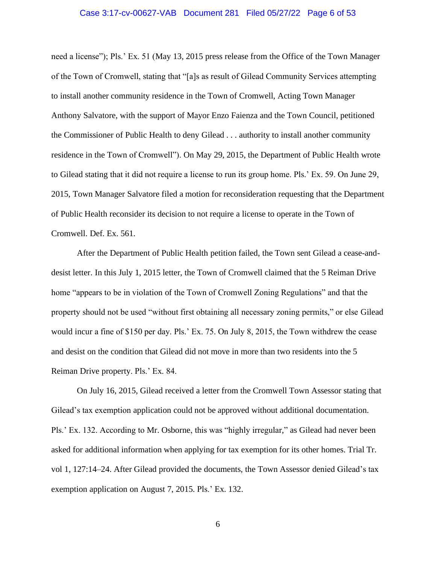#### Case 3:17-cv-00627-VAB Document 281 Filed 05/27/22 Page 6 of 53

need a license"); Pls.' Ex. 51 (May 13, 2015 press release from the Office of the Town Manager of the Town of Cromwell, stating that "[a]s as result of Gilead Community Services attempting to install another community residence in the Town of Cromwell, Acting Town Manager Anthony Salvatore, with the support of Mayor Enzo Faienza and the Town Council, petitioned the Commissioner of Public Health to deny Gilead . . . authority to install another community residence in the Town of Cromwell"). On May 29, 2015, the Department of Public Health wrote to Gilead stating that it did not require a license to run its group home. Pls.' Ex. 59. On June 29, 2015, Town Manager Salvatore filed a motion for reconsideration requesting that the Department of Public Health reconsider its decision to not require a license to operate in the Town of Cromwell. Def. Ex. 561.

After the Department of Public Health petition failed, the Town sent Gilead a cease-anddesist letter. In this July 1, 2015 letter, the Town of Cromwell claimed that the 5 Reiman Drive home "appears to be in violation of the Town of Cromwell Zoning Regulations" and that the property should not be used "without first obtaining all necessary zoning permits," or else Gilead would incur a fine of \$150 per day. Pls.' Ex. 75. On July 8, 2015, the Town withdrew the cease and desist on the condition that Gilead did not move in more than two residents into the 5 Reiman Drive property. Pls.' Ex. 84.

On July 16, 2015, Gilead received a letter from the Cromwell Town Assessor stating that Gilead's tax exemption application could not be approved without additional documentation. Pls.' Ex. 132. According to Mr. Osborne, this was "highly irregular," as Gilead had never been asked for additional information when applying for tax exemption for its other homes. Trial Tr. vol 1, 127:14–24. After Gilead provided the documents, the Town Assessor denied Gilead's tax exemption application on August 7, 2015. Pls.' Ex. 132.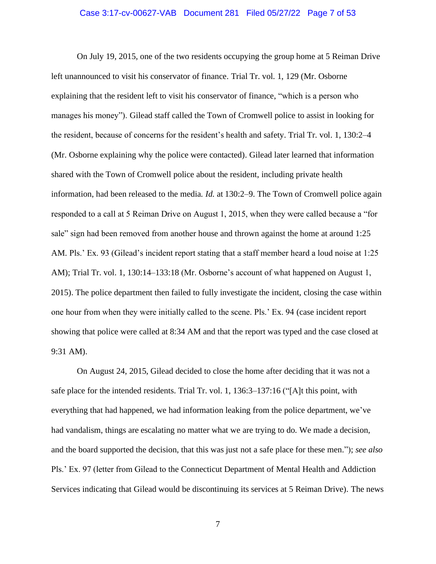### Case 3:17-cv-00627-VAB Document 281 Filed 05/27/22 Page 7 of 53

On July 19, 2015, one of the two residents occupying the group home at 5 Reiman Drive left unannounced to visit his conservator of finance. Trial Tr. vol. 1, 129 (Mr. Osborne explaining that the resident left to visit his conservator of finance, "which is a person who manages his money"). Gilead staff called the Town of Cromwell police to assist in looking for the resident, because of concerns for the resident's health and safety. Trial Tr. vol. 1, 130:2–4 (Mr. Osborne explaining why the police were contacted). Gilead later learned that information shared with the Town of Cromwell police about the resident, including private health information, had been released to the media. *Id*. at 130:2–9. The Town of Cromwell police again responded to a call at 5 Reiman Drive on August 1, 2015, when they were called because a "for sale" sign had been removed from another house and thrown against the home at around 1:25 AM. Pls.' Ex. 93 (Gilead's incident report stating that a staff member heard a loud noise at 1:25 AM); Trial Tr. vol. 1, 130:14–133:18 (Mr. Osborne's account of what happened on August 1, 2015). The police department then failed to fully investigate the incident, closing the case within one hour from when they were initially called to the scene. Pls.' Ex. 94 (case incident report showing that police were called at 8:34 AM and that the report was typed and the case closed at 9:31 AM).

On August 24, 2015, Gilead decided to close the home after deciding that it was not a safe place for the intended residents. Trial Tr. vol. 1, 136:3–137:16 ("[A]t this point, with everything that had happened, we had information leaking from the police department, we've had vandalism, things are escalating no matter what we are trying to do. We made a decision, and the board supported the decision, that this was just not a safe place for these men."); *see also*  Pls.' Ex. 97 (letter from Gilead to the Connecticut Department of Mental Health and Addiction Services indicating that Gilead would be discontinuing its services at 5 Reiman Drive). The news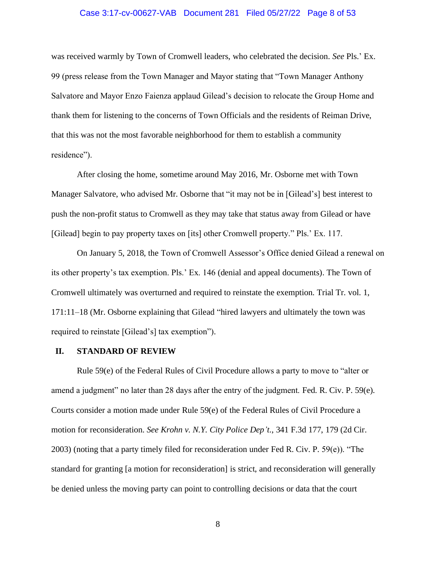### Case 3:17-cv-00627-VAB Document 281 Filed 05/27/22 Page 8 of 53

was received warmly by Town of Cromwell leaders, who celebrated the decision. *See* Pls.' Ex. 99 (press release from the Town Manager and Mayor stating that "Town Manager Anthony Salvatore and Mayor Enzo Faienza applaud Gilead's decision to relocate the Group Home and thank them for listening to the concerns of Town Officials and the residents of Reiman Drive, that this was not the most favorable neighborhood for them to establish a community residence").

After closing the home, sometime around May 2016, Mr. Osborne met with Town Manager Salvatore, who advised Mr. Osborne that "it may not be in [Gilead's] best interest to push the non-profit status to Cromwell as they may take that status away from Gilead or have [Gilead] begin to pay property taxes on [its] other Cromwell property." Pls.' Ex. 117.

On January 5, 2018, the Town of Cromwell Assessor's Office denied Gilead a renewal on its other property's tax exemption. Pls.' Ex. 146 (denial and appeal documents). The Town of Cromwell ultimately was overturned and required to reinstate the exemption. Trial Tr. vol. 1, 171:11–18 (Mr. Osborne explaining that Gilead "hired lawyers and ultimately the town was required to reinstate [Gilead's] tax exemption").

#### **II. STANDARD OF REVIEW**

Rule 59(e) of the Federal Rules of Civil Procedure allows a party to move to "alter or amend a judgment" no later than 28 days after the entry of the judgment. Fed. R. Civ. P. 59(e). Courts consider a motion made under Rule 59(e) of the Federal Rules of Civil Procedure a motion for reconsideration. *See Krohn v. N.Y. City Police Dep't.*, 341 F.3d 177, 179 (2d Cir. 2003) (noting that a party timely filed for reconsideration under Fed R. Civ. P. 59(e)). "The standard for granting [a motion for reconsideration] is strict, and reconsideration will generally be denied unless the moving party can point to controlling decisions or data that the court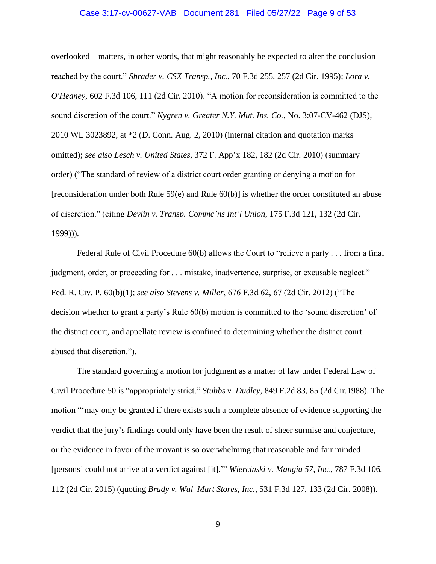#### Case 3:17-cv-00627-VAB Document 281 Filed 05/27/22 Page 9 of 53

overlooked—matters, in other words, that might reasonably be expected to alter the conclusion reached by the court." *Shrader v. CSX Transp., Inc.*, 70 F.3d 255, 257 (2d Cir. 1995); *Lora v. O'Heaney*, 602 F.3d 106, 111 (2d Cir. 2010). "A motion for reconsideration is committed to the sound discretion of the court." *Nygren v. Greater N.Y. Mut. Ins. Co.*, No. 3:07-CV-462 (DJS), 2010 WL 3023892, at \*2 (D. Conn. Aug. 2, 2010) (internal citation and quotation marks omitted); *see also Lesch v. United States*, 372 F. App'x 182, 182 (2d Cir. 2010) (summary order) ("The standard of review of a district court order granting or denying a motion for [reconsideration under both Rule 59(e) and Rule 60(b)] is whether the order constituted an abuse of discretion." (citing *Devlin v. Transp. Commc'ns Int'l Union*, 175 F.3d 121, 132 (2d Cir. 1999))).

Federal Rule of Civil Procedure 60(b) allows the Court to "relieve a party . . . from a final judgment, order, or proceeding for . . . mistake, inadvertence, surprise, or excusable neglect." Fed. R. Civ. P. 60(b)(1); *see also Stevens v. Miller*, 676 F.3d 62, 67 (2d Cir. 2012) ("The decision whether to grant a party's Rule 60(b) motion is committed to the 'sound discretion' of the district court, and appellate review is confined to determining whether the district court abused that discretion.").

The standard governing a motion for judgment as a matter of law under Federal Law of Civil Procedure 50 is "appropriately strict." *Stubbs v. Dudley*, 849 F.2d 83, 85 (2d Cir.1988). The motion "'may only be granted if there exists such a complete absence of evidence supporting the verdict that the jury's findings could only have been the result of sheer surmise and conjecture, or the evidence in favor of the movant is so overwhelming that reasonable and fair minded [persons] could not arrive at a verdict against [it].'" *Wiercinski v. Mangia 57, Inc.*, 787 F.3d 106, 112 (2d Cir. 2015) (quoting *Brady v. Wal–Mart Stores, Inc.*, 531 F.3d 127, 133 (2d Cir. 2008)).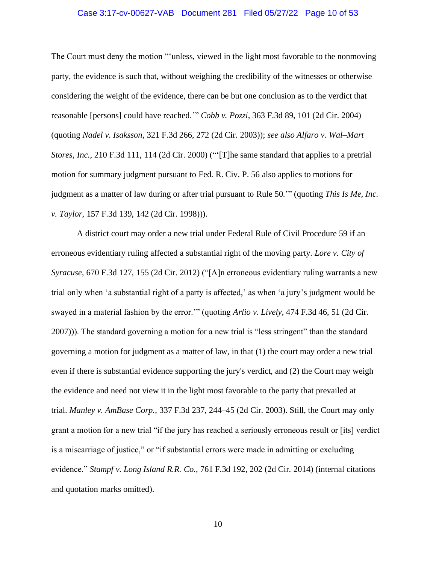### Case 3:17-cv-00627-VAB Document 281 Filed 05/27/22 Page 10 of 53

The Court must deny the motion "'unless, viewed in the light most favorable to the nonmoving party, the evidence is such that, without weighing the credibility of the witnesses or otherwise considering the weight of the evidence, there can be but one conclusion as to the verdict that reasonable [persons] could have reached.'" *Cobb v. Pozzi*, 363 F.3d 89, 101 (2d Cir. 2004) (quoting *Nadel v. Isaksson*, 321 F.3d 266, 272 (2d Cir. 2003)); *see also Alfaro v. Wal–Mart Stores, Inc.*, 210 F.3d 111, 114 (2d Cir. 2000) ("'[T]he same standard that applies to a pretrial motion for summary judgment pursuant to Fed. R. Civ. P. 56 also applies to motions for judgment as a matter of law during or after trial pursuant to Rule 50.'" (quoting *This Is Me, Inc. v. Taylor*, 157 F.3d 139, 142 (2d Cir. 1998))).

A district court may order a new trial under Federal Rule of Civil Procedure 59 if an erroneous evidentiary ruling affected a substantial right of the moving party. *Lore v. City of Syracuse*, 670 F.3d 127, 155 (2d Cir. 2012) ("[A]n erroneous evidentiary ruling warrants a new trial only when 'a substantial right of a party is affected,' as when 'a jury's judgment would be swayed in a material fashion by the error.'" (quoting *Arlio v. Lively*, 474 F.3d 46, 51 (2d Cir. 2007))). The standard governing a motion for a new trial is "less stringent" than the standard governing a motion for judgment as a matter of law, in that (1) the court may order a new trial even if there is substantial evidence supporting the jury's verdict, and (2) the Court may weigh the evidence and need not view it in the light most favorable to the party that prevailed at trial. *Manley v. AmBase Corp.*, 337 F.3d 237, 244–45 (2d Cir. 2003). Still, the Court may only grant a motion for a new trial "if the jury has reached a seriously erroneous result or [its] verdict is a miscarriage of justice," or "if substantial errors were made in admitting or excluding evidence." *Stampf v. Long Island R.R. Co.*, 761 F.3d 192, 202 (2d Cir. 2014) (internal citations and quotation marks omitted).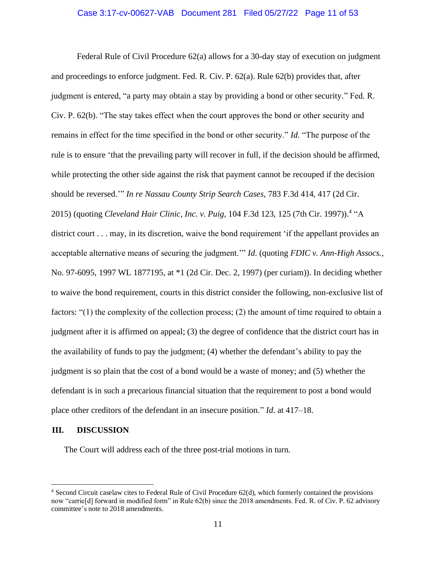### Case 3:17-cv-00627-VAB Document 281 Filed 05/27/22 Page 11 of 53

Federal Rule of Civil Procedure 62(a) allows for a 30-day stay of execution on judgment and proceedings to enforce judgment. Fed. R. Civ. P. 62(a). Rule 62(b) provides that, after judgment is entered, "a party may obtain a stay by providing a bond or other security." Fed. R. Civ. P. 62(b). "The stay takes effect when the court approves the bond or other security and remains in effect for the time specified in the bond or other security." *Id*. "The purpose of the rule is to ensure 'that the prevailing party will recover in full, if the decision should be affirmed, while protecting the other side against the risk that payment cannot be recouped if the decision should be reversed.'" *In re Nassau County Strip Search Cases*, 783 F.3d 414, 417 (2d Cir. 2015) (quoting *Cleveland Hair Clinic, Inc. v. Puig*, 104 F.3d 123, 125 (7th Cir. 1997)).<sup>4</sup> "A district court . . . may, in its discretion, waive the bond requirement 'if the appellant provides an acceptable alternative means of securing the judgment.'" *Id*. (quoting *FDIC v. Ann-High Assocs.*, No. 97-6095, 1997 WL 1877195, at \*1 (2d Cir. Dec. 2, 1997) (per curiam)). In deciding whether to waive the bond requirement, courts in this district consider the following, non-exclusive list of factors: "(1) the complexity of the collection process; (2) the amount of time required to obtain a judgment after it is affirmed on appeal; (3) the degree of confidence that the district court has in the availability of funds to pay the judgment; (4) whether the defendant's ability to pay the judgment is so plain that the cost of a bond would be a waste of money; and (5) whether the defendant is in such a precarious financial situation that the requirement to post a bond would place other creditors of the defendant in an insecure position." *Id*. at 417–18.

#### **III. DISCUSSION**

The Court will address each of the three post-trial motions in turn.

<sup>4</sup> Second Circuit caselaw cites to Federal Rule of Civil Procedure 62(d), which formerly contained the provisions now "carrie[d] forward in modified form" in Rule 62(b) since the 2018 amendments. Fed. R. of Civ. P. 62 advisory committee's note to 2018 amendments.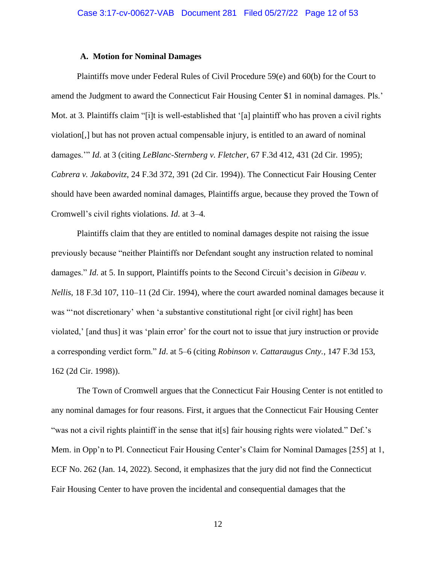#### **A. Motion for Nominal Damages**

Plaintiffs move under Federal Rules of Civil Procedure 59(e) and 60(b) for the Court to amend the Judgment to award the Connecticut Fair Housing Center \$1 in nominal damages. Pls.' Mot. at 3. Plaintiffs claim "[i]t is well-established that '[a] plaintiff who has proven a civil rights violation[,] but has not proven actual compensable injury, is entitled to an award of nominal damages.'" *Id*. at 3 (citing *LeBlanc-Sternberg v. Fletcher*, 67 F.3d 412, 431 (2d Cir. 1995); *Cabrera v. Jakabovitz*, 24 F.3d 372, 391 (2d Cir. 1994)). The Connecticut Fair Housing Center should have been awarded nominal damages, Plaintiffs argue, because they proved the Town of Cromwell's civil rights violations. *Id*. at 3–4.

Plaintiffs claim that they are entitled to nominal damages despite not raising the issue previously because "neither Plaintiffs nor Defendant sought any instruction related to nominal damages." *Id*. at 5. In support, Plaintiffs points to the Second Circuit's decision in *Gibeau v. Nellis*, 18 F.3d 107, 110–11 (2d Cir. 1994), where the court awarded nominal damages because it was "'not discretionary' when 'a substantive constitutional right [or civil right] has been violated,' [and thus] it was 'plain error' for the court not to issue that jury instruction or provide a corresponding verdict form." *Id*. at 5–6 (citing *Robinson v. Cattaraugus Cnty.*, 147 F.3d 153, 162 (2d Cir. 1998)).

The Town of Cromwell argues that the Connecticut Fair Housing Center is not entitled to any nominal damages for four reasons. First, it argues that the Connecticut Fair Housing Center "was not a civil rights plaintiff in the sense that it<sup>[s]</sup> fair housing rights were violated." Def.'s Mem. in Opp'n to Pl. Connecticut Fair Housing Center's Claim for Nominal Damages [255] at 1, ECF No. 262 (Jan. 14, 2022). Second, it emphasizes that the jury did not find the Connecticut Fair Housing Center to have proven the incidental and consequential damages that the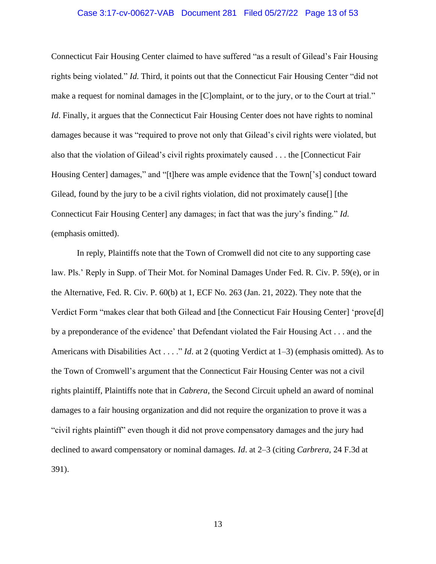### Case 3:17-cv-00627-VAB Document 281 Filed 05/27/22 Page 13 of 53

Connecticut Fair Housing Center claimed to have suffered "as a result of Gilead's Fair Housing rights being violated." *Id*. Third, it points out that the Connecticut Fair Housing Center "did not make a request for nominal damages in the [C]omplaint, or to the jury, or to the Court at trial." *Id.* Finally, it argues that the Connecticut Fair Housing Center does not have rights to nominal damages because it was "required to prove not only that Gilead's civil rights were violated, but also that the violation of Gilead's civil rights proximately caused . . . the [Connecticut Fair Housing Center] damages," and "[t]here was ample evidence that the Town['s] conduct toward Gilead, found by the jury to be a civil rights violation, did not proximately cause[] [the Connecticut Fair Housing Center] any damages; in fact that was the jury's finding." *Id*. (emphasis omitted).

In reply, Plaintiffs note that the Town of Cromwell did not cite to any supporting case law. Pls.' Reply in Supp. of Their Mot. for Nominal Damages Under Fed. R. Civ. P. 59(e), or in the Alternative, Fed. R. Civ. P. 60(b) at 1, ECF No. 263 (Jan. 21, 2022). They note that the Verdict Form "makes clear that both Gilead and [the Connecticut Fair Housing Center] 'prove[d] by a preponderance of the evidence' that Defendant violated the Fair Housing Act . . . and the Americans with Disabilities Act . . . ." *Id*. at 2 (quoting Verdict at 1–3) (emphasis omitted). As to the Town of Cromwell's argument that the Connecticut Fair Housing Center was not a civil rights plaintiff, Plaintiffs note that in *Cabrera*, the Second Circuit upheld an award of nominal damages to a fair housing organization and did not require the organization to prove it was a "civil rights plaintiff" even though it did not prove compensatory damages and the jury had declined to award compensatory or nominal damages. *Id*. at 2–3 (citing *Carbrera*, 24 F.3d at 391).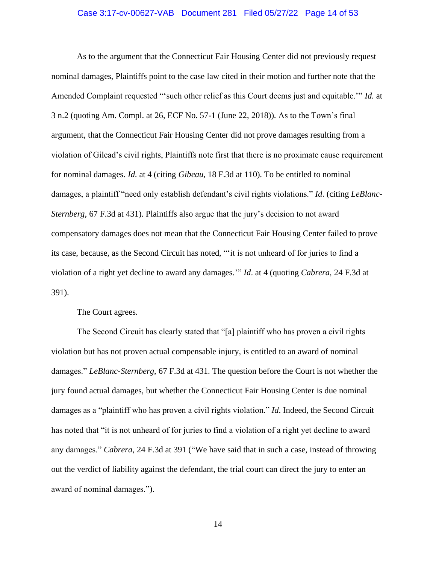### Case 3:17-cv-00627-VAB Document 281 Filed 05/27/22 Page 14 of 53

As to the argument that the Connecticut Fair Housing Center did not previously request nominal damages, Plaintiffs point to the case law cited in their motion and further note that the Amended Complaint requested "'such other relief as this Court deems just and equitable.'" *Id*. at 3 n.2 (quoting Am. Compl. at 26, ECF No. 57-1 (June 22, 2018)). As to the Town's final argument, that the Connecticut Fair Housing Center did not prove damages resulting from a violation of Gilead's civil rights, Plaintiffs note first that there is no proximate cause requirement for nominal damages. *Id*. at 4 (citing *Gibeau*, 18 F.3d at 110). To be entitled to nominal damages, a plaintiff "need only establish defendant's civil rights violations." *Id*. (citing *LeBlanc-Sternberg*, 67 F.3d at 431). Plaintiffs also argue that the jury's decision to not award compensatory damages does not mean that the Connecticut Fair Housing Center failed to prove its case, because, as the Second Circuit has noted, "'it is not unheard of for juries to find a violation of a right yet decline to award any damages.'" *Id*. at 4 (quoting *Cabrera*, 24 F.3d at 391).

The Court agrees.

The Second Circuit has clearly stated that "[a] plaintiff who has proven a civil rights violation but has not proven actual compensable injury, is entitled to an award of nominal damages." *LeBlanc-Sternberg*, 67 F.3d at 431. The question before the Court is not whether the jury found actual damages, but whether the Connecticut Fair Housing Center is due nominal damages as a "plaintiff who has proven a civil rights violation." *Id*. Indeed, the Second Circuit has noted that "it is not unheard of for juries to find a violation of a right yet decline to award any damages." *Cabrera*, 24 F.3d at 391 ("We have said that in such a case, instead of throwing out the verdict of liability against the defendant, the trial court can direct the jury to enter an award of nominal damages.").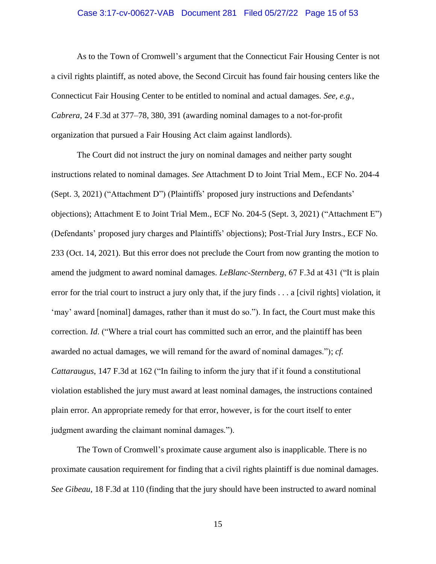### Case 3:17-cv-00627-VAB Document 281 Filed 05/27/22 Page 15 of 53

As to the Town of Cromwell's argument that the Connecticut Fair Housing Center is not a civil rights plaintiff, as noted above, the Second Circuit has found fair housing centers like the Connecticut Fair Housing Center to be entitled to nominal and actual damages. *See, e.g.*, *Cabrera*, 24 F.3d at 377–78, 380, 391 (awarding nominal damages to a not-for-profit organization that pursued a Fair Housing Act claim against landlords).

The Court did not instruct the jury on nominal damages and neither party sought instructions related to nominal damages. *See* Attachment D to Joint Trial Mem., ECF No. 204-4 (Sept. 3, 2021) ("Attachment D") (Plaintiffs' proposed jury instructions and Defendants' objections); Attachment E to Joint Trial Mem., ECF No. 204-5 (Sept. 3, 2021) ("Attachment E") (Defendants' proposed jury charges and Plaintiffs' objections); Post-Trial Jury Instrs., ECF No. 233 (Oct. 14, 2021). But this error does not preclude the Court from now granting the motion to amend the judgment to award nominal damages. *LeBlanc-Sternberg*, 67 F.3d at 431 ("It is plain error for the trial court to instruct a jury only that, if the jury finds . . . a [civil rights] violation, it 'may' award [nominal] damages, rather than it must do so."). In fact, the Court must make this correction. *Id*. ("Where a trial court has committed such an error, and the plaintiff has been awarded no actual damages, we will remand for the award of nominal damages."); *cf. Cattaraugus*, 147 F.3d at 162 ("In failing to inform the jury that if it found a constitutional violation established the jury must award at least nominal damages, the instructions contained plain error. An appropriate remedy for that error, however, is for the court itself to enter judgment awarding the claimant nominal damages.").

The Town of Cromwell's proximate cause argument also is inapplicable. There is no proximate causation requirement for finding that a civil rights plaintiff is due nominal damages. *See Gibeau*, 18 F.3d at 110 (finding that the jury should have been instructed to award nominal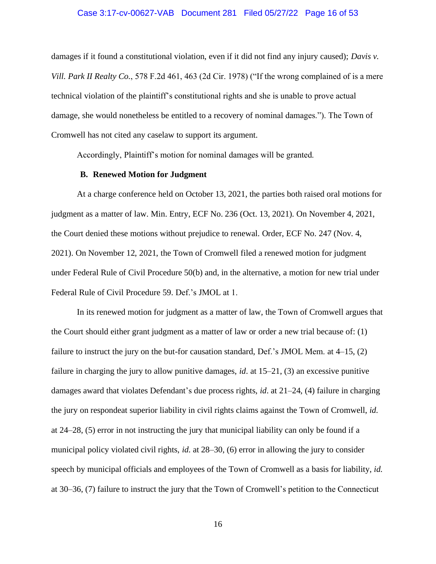#### Case 3:17-cv-00627-VAB Document 281 Filed 05/27/22 Page 16 of 53

damages if it found a constitutional violation, even if it did not find any injury caused); *Davis v. Vill. Park II Realty Co.*, 578 F.2d 461, 463 (2d Cir. 1978) ("If the wrong complained of is a mere technical violation of the plaintiff's constitutional rights and she is unable to prove actual damage, she would nonetheless be entitled to a recovery of nominal damages."). The Town of Cromwell has not cited any caselaw to support its argument.

Accordingly, Plaintiff's motion for nominal damages will be granted.

### **B. Renewed Motion for Judgment**

At a charge conference held on October 13, 2021, the parties both raised oral motions for judgment as a matter of law. Min. Entry, ECF No. 236 (Oct. 13, 2021). On November 4, 2021, the Court denied these motions without prejudice to renewal. Order, ECF No. 247 (Nov. 4, 2021). On November 12, 2021, the Town of Cromwell filed a renewed motion for judgment under Federal Rule of Civil Procedure 50(b) and, in the alternative, a motion for new trial under Federal Rule of Civil Procedure 59. Def.'s JMOL at 1.

In its renewed motion for judgment as a matter of law, the Town of Cromwell argues that the Court should either grant judgment as a matter of law or order a new trial because of: (1) failure to instruct the jury on the but-for causation standard, Def.'s JMOL Mem. at 4–15, (2) failure in charging the jury to allow punitive damages, *id*. at 15–21, (3) an excessive punitive damages award that violates Defendant's due process rights, *id*. at 21–24, (4) failure in charging the jury on respondeat superior liability in civil rights claims against the Town of Cromwell, *id*. at 24–28, (5) error in not instructing the jury that municipal liability can only be found if a municipal policy violated civil rights, *id*. at 28–30, (6) error in allowing the jury to consider speech by municipal officials and employees of the Town of Cromwell as a basis for liability, *id*. at 30–36, (7) failure to instruct the jury that the Town of Cromwell's petition to the Connecticut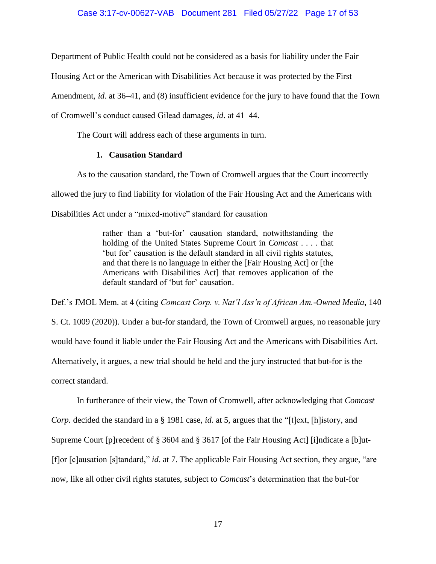### Case 3:17-cv-00627-VAB Document 281 Filed 05/27/22 Page 17 of 53

Department of Public Health could not be considered as a basis for liability under the Fair

Housing Act or the American with Disabilities Act because it was protected by the First

Amendment, *id*. at 36–41, and (8) insufficient evidence for the jury to have found that the Town

of Cromwell's conduct caused Gilead damages, *id*. at 41–44.

The Court will address each of these arguments in turn.

## **1. Causation Standard**

As to the causation standard, the Town of Cromwell argues that the Court incorrectly allowed the jury to find liability for violation of the Fair Housing Act and the Americans with Disabilities Act under a "mixed-motive" standard for causation

> rather than a 'but-for' causation standard, notwithstanding the holding of the United States Supreme Court in *Comcast* . . . . that 'but for' causation is the default standard in all civil rights statutes, and that there is no language in either the [Fair Housing Act] or [the Americans with Disabilities Act] that removes application of the default standard of 'but for' causation.

Def.'s JMOL Mem. at 4 (citing *Comcast Corp. v. Nat'l Ass'n of African Am.-Owned Media*, 140 S. Ct. 1009 (2020)). Under a but-for standard, the Town of Cromwell argues, no reasonable jury would have found it liable under the Fair Housing Act and the Americans with Disabilities Act. Alternatively, it argues, a new trial should be held and the jury instructed that but-for is the correct standard.

In furtherance of their view, the Town of Cromwell, after acknowledging that *Comcast Corp.* decided the standard in a § 1981 case, *id*. at 5, argues that the "[t]ext, [h]istory, and Supreme Court [p]recedent of § 3604 and § 3617 [of the Fair Housing Act] [i]ndicate a [b]ut- [f]or [c]ausation [s]tandard," *id*. at 7. The applicable Fair Housing Act section, they argue, "are now, like all other civil rights statutes, subject to *Comcast*'s determination that the but-for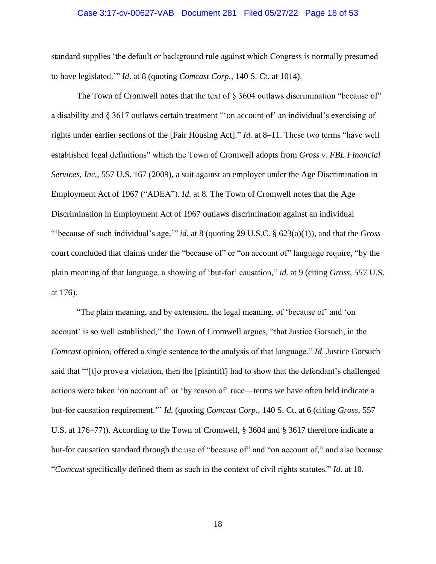#### Case 3:17-cv-00627-VAB Document 281 Filed 05/27/22 Page 18 of 53

standard supplies 'the default or background rule against which Congress is normally presumed to have legislated.'" *Id*. at 8 (quoting *Comcast Corp.*, 140 S. Ct. at 1014).

The Town of Cromwell notes that the text of  $\S 3604$  outlaws discrimination "because of" a disability and § 3617 outlaws certain treatment "'on account of' an individual's exercising of rights under earlier sections of the [Fair Housing Act]." *Id*. at 8–11. These two terms "have well established legal definitions" which the Town of Cromwell adopts from *Gross v. FBL Financial Services, Inc.*, 557 U.S. 167 (2009), a suit against an employer under the Age Discrimination in Employment Act of 1967 ("ADEA"). *Id*. at 8. The Town of Cromwell notes that the Age Discrimination in Employment Act of 1967 outlaws discrimination against an individual "'because of such individual's age,'" *id*. at 8 (quoting 29 U.S.C. § 623(a)(1)), and that the *Gross*  court concluded that claims under the "because of" or "on account of" language require, "by the plain meaning of that language, a showing of 'but-for' causation," *id*. at 9 (citing *Gross*, 557 U.S. at 176).

"The plain meaning, and by extension, the legal meaning, of 'because of' and 'on account' is so well established," the Town of Cromwell argues, "that Justice Gorsuch, in the *Comcast* opinion, offered a single sentence to the analysis of that language." *Id*. Justice Gorsuch said that "'[t]o prove a violation, then the [plaintiff] had to show that the defendant's challenged actions were taken 'on account of' or 'by reason of' race—terms we have often held indicate a but-for causation requirement.'" *Id*. (quoting *Comcast Corp.*, 140 S. Ct. at 6 (citing *Gross*, 557 U.S. at 176–77)). According to the Town of Cromwell, § 3604 and § 3617 therefore indicate a but-for causation standard through the use of "because of" and "on account of," and also because "*Comcast* specifically defined them as such in the context of civil rights statutes." *Id*. at 10.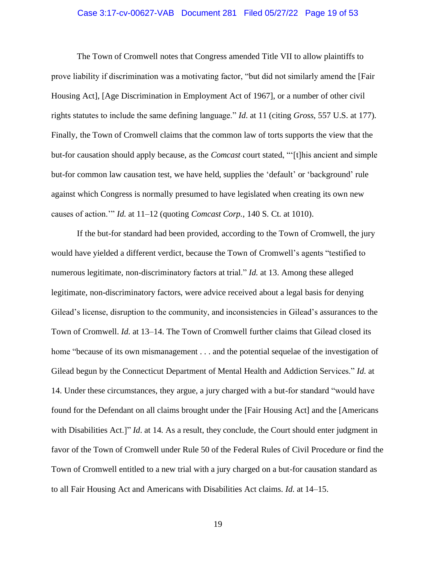### Case 3:17-cv-00627-VAB Document 281 Filed 05/27/22 Page 19 of 53

The Town of Cromwell notes that Congress amended Title VII to allow plaintiffs to prove liability if discrimination was a motivating factor, "but did not similarly amend the [Fair Housing Act], [Age Discrimination in Employment Act of 1967], or a number of other civil rights statutes to include the same defining language." *Id*. at 11 (citing *Gross*, 557 U.S. at 177). Finally, the Town of Cromwell claims that the common law of torts supports the view that the but-for causation should apply because, as the *Comcast* court stated, "'[t]his ancient and simple but-for common law causation test, we have held, supplies the 'default' or 'background' rule against which Congress is normally presumed to have legislated when creating its own new causes of action.'" *Id*. at 11–12 (quoting *Comcast Corp.*, 140 S. Ct. at 1010).

If the but-for standard had been provided, according to the Town of Cromwell, the jury would have yielded a different verdict, because the Town of Cromwell's agents "testified to numerous legitimate, non-discriminatory factors at trial." *Id*. at 13. Among these alleged legitimate, non-discriminatory factors, were advice received about a legal basis for denying Gilead's license, disruption to the community, and inconsistencies in Gilead's assurances to the Town of Cromwell. *Id*. at 13–14. The Town of Cromwell further claims that Gilead closed its home "because of its own mismanagement . . . and the potential sequelae of the investigation of Gilead begun by the Connecticut Department of Mental Health and Addiction Services." *Id*. at 14. Under these circumstances, they argue, a jury charged with a but-for standard "would have found for the Defendant on all claims brought under the [Fair Housing Act] and the [Americans with Disabilities Act.]" *Id.* at 14. As a result, they conclude, the Court should enter judgment in favor of the Town of Cromwell under Rule 50 of the Federal Rules of Civil Procedure or find the Town of Cromwell entitled to a new trial with a jury charged on a but-for causation standard as to all Fair Housing Act and Americans with Disabilities Act claims. *Id*. at 14–15.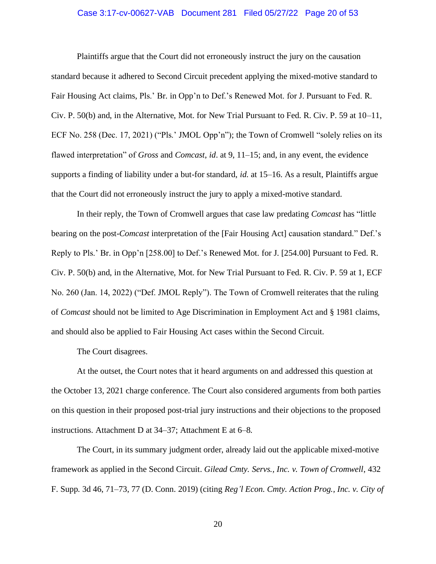### Case 3:17-cv-00627-VAB Document 281 Filed 05/27/22 Page 20 of 53

Plaintiffs argue that the Court did not erroneously instruct the jury on the causation standard because it adhered to Second Circuit precedent applying the mixed-motive standard to Fair Housing Act claims, Pls.' Br. in Opp'n to Def.'s Renewed Mot. for J. Pursuant to Fed. R. Civ. P. 50(b) and, in the Alternative, Mot. for New Trial Pursuant to Fed. R. Civ. P. 59 at 10–11, ECF No. 258 (Dec. 17, 2021) ("Pls.' JMOL Opp'n"); the Town of Cromwell "solely relies on its flawed interpretation" of *Gross* and *Comcast*, *id*. at 9, 11–15; and, in any event, the evidence supports a finding of liability under a but-for standard, *id*. at 15–16. As a result, Plaintiffs argue that the Court did not erroneously instruct the jury to apply a mixed-motive standard.

In their reply, the Town of Cromwell argues that case law predating *Comcast* has "little bearing on the post-*Comcast* interpretation of the [Fair Housing Act] causation standard." Def.'s Reply to Pls.' Br. in Opp'n [258.00] to Def.'s Renewed Mot. for J. [254.00] Pursuant to Fed. R. Civ. P. 50(b) and, in the Alternative, Mot. for New Trial Pursuant to Fed. R. Civ. P. 59 at 1, ECF No. 260 (Jan. 14, 2022) ("Def. JMOL Reply"). The Town of Cromwell reiterates that the ruling of *Comcast* should not be limited to Age Discrimination in Employment Act and § 1981 claims, and should also be applied to Fair Housing Act cases within the Second Circuit.

The Court disagrees.

At the outset, the Court notes that it heard arguments on and addressed this question at the October 13, 2021 charge conference. The Court also considered arguments from both parties on this question in their proposed post-trial jury instructions and their objections to the proposed instructions. Attachment D at 34–37; Attachment E at 6–8.

The Court, in its summary judgment order, already laid out the applicable mixed-motive framework as applied in the Second Circuit. *Gilead Cmty. Servs., Inc. v. Town of Cromwell*, 432 F. Supp. 3d 46, 71–73, 77 (D. Conn. 2019) (citing *Reg'l Econ. Cmty. Action Prog., Inc. v. City of*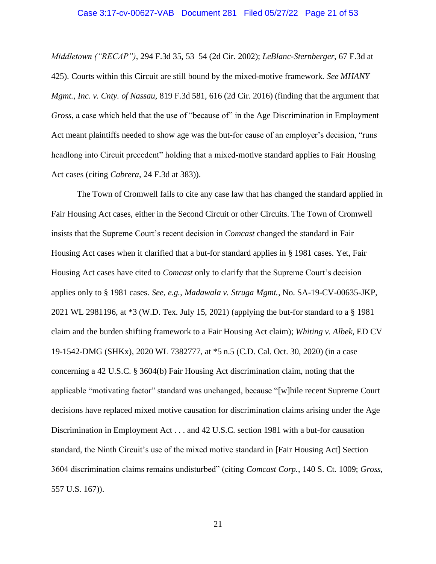#### Case 3:17-cv-00627-VAB Document 281 Filed 05/27/22 Page 21 of 53

*Middletown ("RECAP")*, 294 F.3d 35, 53–54 (2d Cir. 2002); *LeBlanc-Sternberger*, 67 F.3d at 425). Courts within this Circuit are still bound by the mixed-motive framework. *See MHANY Mgmt., Inc. v. Cnty. of Nassau*, 819 F.3d 581, 616 (2d Cir. 2016) (finding that the argument that *Gross*, a case which held that the use of "because of" in the Age Discrimination in Employment Act meant plaintiffs needed to show age was the but-for cause of an employer's decision, "runs headlong into Circuit precedent" holding that a mixed-motive standard applies to Fair Housing Act cases (citing *Cabrera*, 24 F.3d at 383)).

The Town of Cromwell fails to cite any case law that has changed the standard applied in Fair Housing Act cases, either in the Second Circuit or other Circuits. The Town of Cromwell insists that the Supreme Court's recent decision in *Comcast* changed the standard in Fair Housing Act cases when it clarified that a but-for standard applies in § 1981 cases. Yet, Fair Housing Act cases have cited to *Comcast* only to clarify that the Supreme Court's decision applies only to § 1981 cases. *See, e.g.*, *Madawala v. Struga Mgmt.*, No. SA-19-CV-00635-JKP, 2021 WL 2981196, at \*3 (W.D. Tex. July 15, 2021) (applying the but-for standard to a § 1981 claim and the burden shifting framework to a Fair Housing Act claim); *Whiting v. Albek*, ED CV 19-1542-DMG (SHKx), 2020 WL 7382777, at \*5 n.5 (C.D. Cal. Oct. 30, 2020) (in a case concerning a 42 U.S.C. § 3604(b) Fair Housing Act discrimination claim, noting that the applicable "motivating factor" standard was unchanged, because "[w]hile recent Supreme Court decisions have replaced mixed motive causation for discrimination claims arising under the Age Discrimination in Employment Act . . . and 42 U.S.C. section 1981 with a but-for causation standard, the Ninth Circuit's use of the mixed motive standard in [Fair Housing Act] Section 3604 discrimination claims remains undisturbed" (citing *Comcast Corp.*, 140 S. Ct. 1009; *Gross*, 557 U.S. 167)).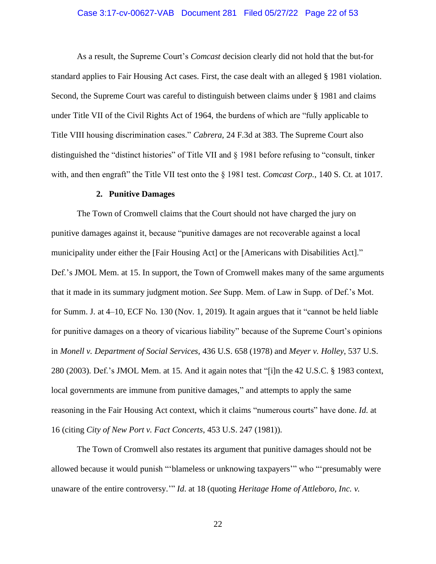### Case 3:17-cv-00627-VAB Document 281 Filed 05/27/22 Page 22 of 53

As a result, the Supreme Court's *Comcast* decision clearly did not hold that the but-for standard applies to Fair Housing Act cases. First, the case dealt with an alleged § 1981 violation. Second, the Supreme Court was careful to distinguish between claims under § 1981 and claims under Title VII of the Civil Rights Act of 1964, the burdens of which are "fully applicable to Title VIII housing discrimination cases." *Cabrera*, 24 F.3d at 383. The Supreme Court also distinguished the "distinct histories" of Title VII and § 1981 before refusing to "consult, tinker with, and then engraft" the Title VII test onto the § 1981 test. *Comcast Corp.*, 140 S. Ct. at 1017.

#### **2. Punitive Damages**

The Town of Cromwell claims that the Court should not have charged the jury on punitive damages against it, because "punitive damages are not recoverable against a local municipality under either the [Fair Housing Act] or the [Americans with Disabilities Act]." Def.'s JMOL Mem. at 15. In support, the Town of Cromwell makes many of the same arguments that it made in its summary judgment motion. *See* Supp. Mem. of Law in Supp. of Def.'s Mot. for Summ. J. at 4–10, ECF No. 130 (Nov. 1, 2019). It again argues that it "cannot be held liable for punitive damages on a theory of vicarious liability" because of the Supreme Court's opinions in *Monell v. Department of Social Services*, 436 U.S. 658 (1978) and *Meyer v. Holley*, 537 U.S. 280 (2003). Def.'s JMOL Mem. at 15. And it again notes that "[i]n the 42 U.S.C. § 1983 context, local governments are immune from punitive damages," and attempts to apply the same reasoning in the Fair Housing Act context, which it claims "numerous courts" have done. *Id*. at 16 (citing *City of New Port v. Fact Concerts*, 453 U.S. 247 (1981)).

The Town of Cromwell also restates its argument that punitive damages should not be allowed because it would punish "'blameless or unknowing taxpayers'" who "'presumably were unaware of the entire controversy.'" *Id*. at 18 (quoting *Heritage Home of Attleboro, Inc. v.*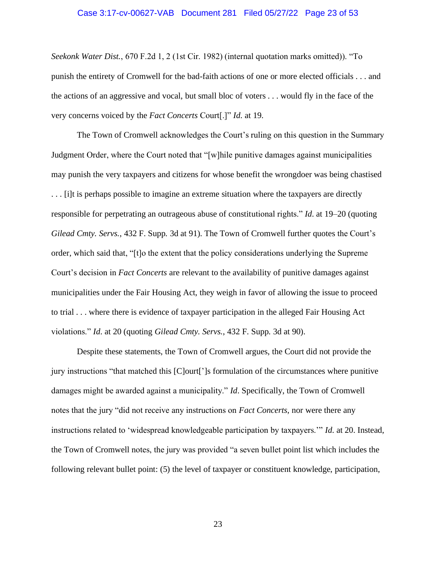#### Case 3:17-cv-00627-VAB Document 281 Filed 05/27/22 Page 23 of 53

*Seekonk Water Dist.*, 670 F.2d 1, 2 (1st Cir. 1982) (internal quotation marks omitted)). "To punish the entirety of Cromwell for the bad-faith actions of one or more elected officials . . . and the actions of an aggressive and vocal, but small bloc of voters . . . would fly in the face of the very concerns voiced by the *Fact Concerts* Court[.]" *Id*. at 19.

The Town of Cromwell acknowledges the Court's ruling on this question in the Summary Judgment Order, where the Court noted that "[w]hile punitive damages against municipalities may punish the very taxpayers and citizens for whose benefit the wrongdoer was being chastised . . . [i]t is perhaps possible to imagine an extreme situation where the taxpayers are directly responsible for perpetrating an outrageous abuse of constitutional rights." *Id*. at 19–20 (quoting *Gilead Cmty. Servs.*, 432 F. Supp. 3d at 91). The Town of Cromwell further quotes the Court's order, which said that, "[t]o the extent that the policy considerations underlying the Supreme Court's decision in *Fact Concerts* are relevant to the availability of punitive damages against municipalities under the Fair Housing Act, they weigh in favor of allowing the issue to proceed to trial . . . where there is evidence of taxpayer participation in the alleged Fair Housing Act violations." *Id*. at 20 (quoting *Gilead Cmty. Servs.*, 432 F. Supp. 3d at 90).

Despite these statements, the Town of Cromwell argues, the Court did not provide the jury instructions "that matched this [C]ourt[']s formulation of the circumstances where punitive damages might be awarded against a municipality." *Id*. Specifically, the Town of Cromwell notes that the jury "did not receive any instructions on *Fact Concerts*, nor were there any instructions related to 'widespread knowledgeable participation by taxpayers.'" *Id*. at 20. Instead, the Town of Cromwell notes, the jury was provided "a seven bullet point list which includes the following relevant bullet point: (5) the level of taxpayer or constituent knowledge, participation,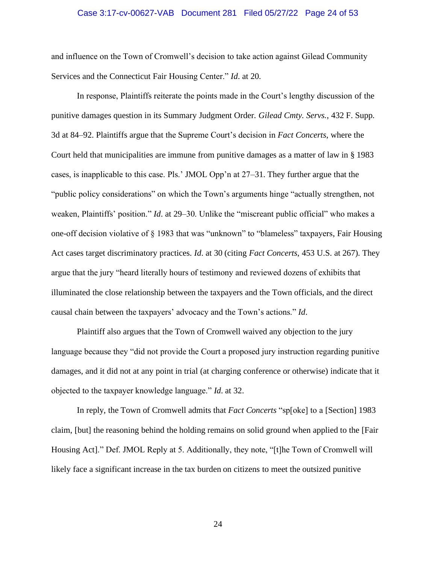### Case 3:17-cv-00627-VAB Document 281 Filed 05/27/22 Page 24 of 53

and influence on the Town of Cromwell's decision to take action against Gilead Community Services and the Connecticut Fair Housing Center." *Id*. at 20.

In response, Plaintiffs reiterate the points made in the Court's lengthy discussion of the punitive damages question in its Summary Judgment Order. *Gilead Cmty. Servs.*, 432 F. Supp. 3d at 84–92. Plaintiffs argue that the Supreme Court's decision in *Fact Concerts*, where the Court held that municipalities are immune from punitive damages as a matter of law in § 1983 cases, is inapplicable to this case. Pls.' JMOL Opp'n at 27–31. They further argue that the "public policy considerations" on which the Town's arguments hinge "actually strengthen, not weaken, Plaintiffs' position." *Id*. at 29–30. Unlike the "miscreant public official" who makes a one-off decision violative of § 1983 that was "unknown" to "blameless" taxpayers, Fair Housing Act cases target discriminatory practices. *Id*. at 30 (citing *Fact Concerts*, 453 U.S. at 267). They argue that the jury "heard literally hours of testimony and reviewed dozens of exhibits that illuminated the close relationship between the taxpayers and the Town officials, and the direct causal chain between the taxpayers' advocacy and the Town's actions." *Id*.

Plaintiff also argues that the Town of Cromwell waived any objection to the jury language because they "did not provide the Court a proposed jury instruction regarding punitive damages, and it did not at any point in trial (at charging conference or otherwise) indicate that it objected to the taxpayer knowledge language." *Id*. at 32.

In reply, the Town of Cromwell admits that *Fact Concerts* "sp[oke] to a [Section] 1983 claim, [but] the reasoning behind the holding remains on solid ground when applied to the [Fair Housing Act]." Def. JMOL Reply at 5. Additionally, they note, "[t]he Town of Cromwell will likely face a significant increase in the tax burden on citizens to meet the outsized punitive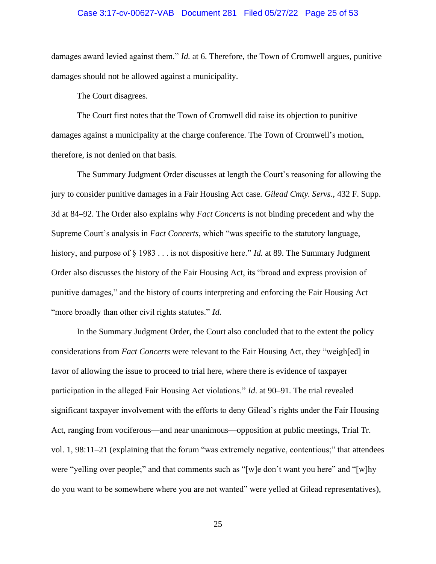### Case 3:17-cv-00627-VAB Document 281 Filed 05/27/22 Page 25 of 53

damages award levied against them." *Id*. at 6. Therefore, the Town of Cromwell argues, punitive damages should not be allowed against a municipality.

The Court disagrees.

The Court first notes that the Town of Cromwell did raise its objection to punitive damages against a municipality at the charge conference. The Town of Cromwell's motion, therefore, is not denied on that basis.

The Summary Judgment Order discusses at length the Court's reasoning for allowing the jury to consider punitive damages in a Fair Housing Act case. *Gilead Cmty. Servs.*, 432 F. Supp. 3d at 84–92. The Order also explains why *Fact Concerts* is not binding precedent and why the Supreme Court's analysis in *Fact Concerts*, which "was specific to the statutory language, history, and purpose of § 1983 . . . is not dispositive here." *Id*. at 89. The Summary Judgment Order also discusses the history of the Fair Housing Act, its "broad and express provision of punitive damages," and the history of courts interpreting and enforcing the Fair Housing Act "more broadly than other civil rights statutes." *Id*.

In the Summary Judgment Order, the Court also concluded that to the extent the policy considerations from *Fact Concerts* were relevant to the Fair Housing Act, they "weigh[ed] in favor of allowing the issue to proceed to trial here, where there is evidence of taxpayer participation in the alleged Fair Housing Act violations." *Id*. at 90–91. The trial revealed significant taxpayer involvement with the efforts to deny Gilead's rights under the Fair Housing Act, ranging from vociferous—and near unanimous—opposition at public meetings, Trial Tr. vol. 1, 98:11–21 (explaining that the forum "was extremely negative, contentious;" that attendees were "yelling over people;" and that comments such as "[w]e don't want you here" and "[w]hy do you want to be somewhere where you are not wanted" were yelled at Gilead representatives),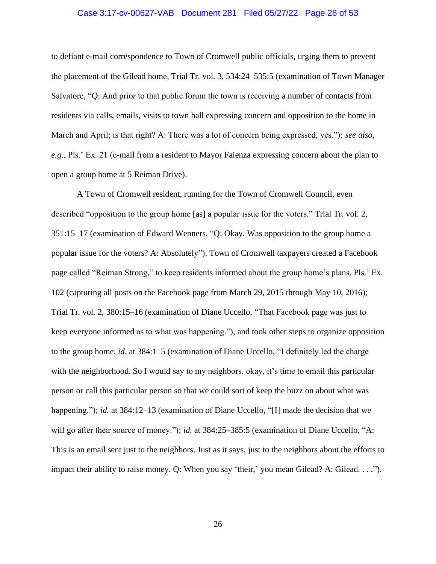### Case 3:17-cv-00627-VAB Document 281 Filed 05/27/22 Page 26 of 53

to defiant e-mail correspondence to Town of Cromwell public officials, urging them to prevent the placement of the Gilead home, Trial Tr. vol. 3, 534:24–535:5 (examination of Town Manager Salvatore, "Q: And prior to that public forum the town is receiving a number of contacts from residents via calls, emails, visits to town hall expressing concern and opposition to the home in March and April; is that right? A: There was a lot of concern being expressed, yes."); *see also, e.g.*, Pls.' Ex. 21 (e-mail from a resident to Mayor Faienza expressing concern about the plan to open a group home at 5 Reiman Drive).

A Town of Cromwell resident, running for the Town of Cromwell Council, even described "opposition to the group home [as] a popular issue for the voters." Trial Tr. vol. 2, 351:15–17 (examination of Edward Wenners, "Q: Okay. Was opposition to the group home a popular issue for the voters? A: Absolutely"). Town of Cromwell taxpayers created a Facebook page called "Reiman Strong," to keep residents informed about the group home's plans, Pls.' Ex. 102 (capturing all posts on the Facebook page from March 29, 2015 through May 10, 2016); Trial Tr. vol. 2, 380:15–16 (examination of Diane Uccello, "That Facebook page was just to keep everyone informed as to what was happening."), and took other steps to organize opposition to the group home, *id*. at 384:1–5 (examination of Diane Uccello, "I definitely led the charge with the neighborhood. So I would say to my neighbors, okay, it's time to email this particular person or call this particular person so that we could sort of keep the buzz on about what was happening."); *id.* at 384:12–13 (examination of Diane Uccello, "[I] made the decision that we will go after their source of money."); *id*. at 384:25–385:5 (examination of Diane Uccello, "A: This is an email sent just to the neighbors. Just as it says, just to the neighbors about the efforts to impact their ability to raise money. Q: When you say 'their,' you mean Gilead? A: Gilead. . . .").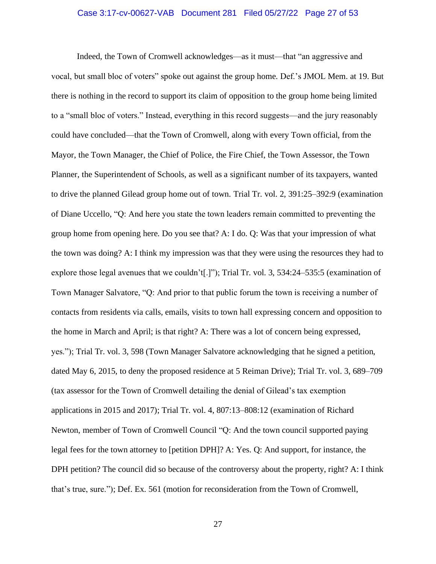### Case 3:17-cv-00627-VAB Document 281 Filed 05/27/22 Page 27 of 53

Indeed, the Town of Cromwell acknowledges—as it must—that "an aggressive and vocal, but small bloc of voters" spoke out against the group home. Def.'s JMOL Mem. at 19. But there is nothing in the record to support its claim of opposition to the group home being limited to a "small bloc of voters." Instead, everything in this record suggests—and the jury reasonably could have concluded—that the Town of Cromwell, along with every Town official, from the Mayor, the Town Manager, the Chief of Police, the Fire Chief, the Town Assessor, the Town Planner, the Superintendent of Schools, as well as a significant number of its taxpayers, wanted to drive the planned Gilead group home out of town. Trial Tr. vol. 2, 391:25–392:9 (examination of Diane Uccello, "Q: And here you state the town leaders remain committed to preventing the group home from opening here. Do you see that? A: I do. Q: Was that your impression of what the town was doing? A: I think my impression was that they were using the resources they had to explore those legal avenues that we couldn't[.]"); Trial Tr. vol. 3, 534:24–535:5 (examination of Town Manager Salvatore, "Q: And prior to that public forum the town is receiving a number of contacts from residents via calls, emails, visits to town hall expressing concern and opposition to the home in March and April; is that right? A: There was a lot of concern being expressed, yes."); Trial Tr. vol. 3, 598 (Town Manager Salvatore acknowledging that he signed a petition, dated May 6, 2015, to deny the proposed residence at 5 Reiman Drive); Trial Tr. vol. 3, 689–709 (tax assessor for the Town of Cromwell detailing the denial of Gilead's tax exemption applications in 2015 and 2017); Trial Tr. vol. 4, 807:13–808:12 (examination of Richard Newton, member of Town of Cromwell Council "Q: And the town council supported paying legal fees for the town attorney to [petition DPH]? A: Yes. Q: And support, for instance, the DPH petition? The council did so because of the controversy about the property, right? A: I think that's true, sure."); Def. Ex. 561 (motion for reconsideration from the Town of Cromwell,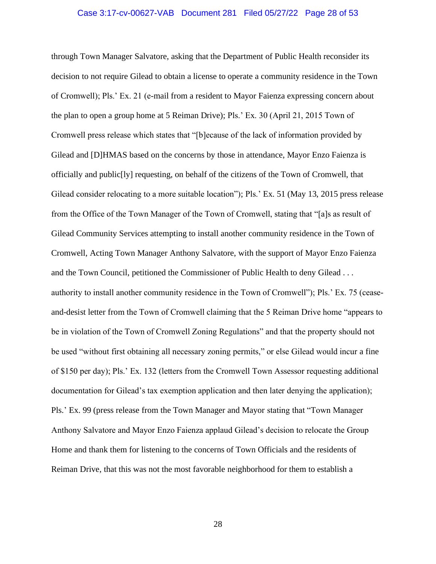#### Case 3:17-cv-00627-VAB Document 281 Filed 05/27/22 Page 28 of 53

through Town Manager Salvatore, asking that the Department of Public Health reconsider its decision to not require Gilead to obtain a license to operate a community residence in the Town of Cromwell); Pls.' Ex. 21 (e-mail from a resident to Mayor Faienza expressing concern about the plan to open a group home at 5 Reiman Drive); Pls.' Ex. 30 (April 21, 2015 Town of Cromwell press release which states that "[b]ecause of the lack of information provided by Gilead and [D]HMAS based on the concerns by those in attendance, Mayor Enzo Faienza is officially and public[ly] requesting, on behalf of the citizens of the Town of Cromwell, that Gilead consider relocating to a more suitable location"); Pls.' Ex. 51 (May 13, 2015 press release from the Office of the Town Manager of the Town of Cromwell, stating that "[a]s as result of Gilead Community Services attempting to install another community residence in the Town of Cromwell, Acting Town Manager Anthony Salvatore, with the support of Mayor Enzo Faienza and the Town Council, petitioned the Commissioner of Public Health to deny Gilead . . . authority to install another community residence in the Town of Cromwell"); Pls.' Ex. 75 (ceaseand-desist letter from the Town of Cromwell claiming that the 5 Reiman Drive home "appears to be in violation of the Town of Cromwell Zoning Regulations" and that the property should not be used "without first obtaining all necessary zoning permits," or else Gilead would incur a fine of \$150 per day); Pls.' Ex. 132 (letters from the Cromwell Town Assessor requesting additional documentation for Gilead's tax exemption application and then later denying the application); Pls.' Ex. 99 (press release from the Town Manager and Mayor stating that "Town Manager Anthony Salvatore and Mayor Enzo Faienza applaud Gilead's decision to relocate the Group Home and thank them for listening to the concerns of Town Officials and the residents of Reiman Drive, that this was not the most favorable neighborhood for them to establish a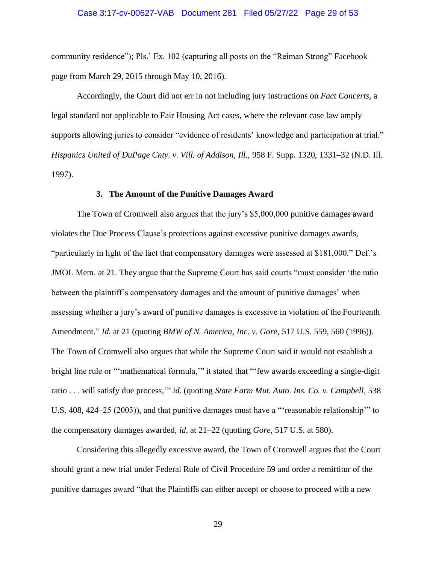community residence"); Pls.' Ex. 102 (capturing all posts on the "Reiman Strong" Facebook page from March 29, 2015 through May 10, 2016).

Accordingly, the Court did not err in not including jury instructions on *Fact Concerts*, a legal standard not applicable to Fair Housing Act cases, where the relevant case law amply supports allowing juries to consider "evidence of residents' knowledge and participation at trial." *Hispanics United of DuPage Cnty. v. Vill. of Addison, Ill.*, 958 F. Supp. 1320, 1331–32 (N.D. Ill. 1997).

#### **3. The Amount of the Punitive Damages Award**

The Town of Cromwell also argues that the jury's \$5,000,000 punitive damages award violates the Due Process Clause's protections against excessive punitive damages awards, "particularly in light of the fact that compensatory damages were assessed at \$181,000." Def.'s JMOL Mem. at 21. They argue that the Supreme Court has said courts "must consider 'the ratio between the plaintiff's compensatory damages and the amount of punitive damages' when assessing whether a jury's award of punitive damages is excessive in violation of the Fourteenth Amendment." *Id*. at 21 (quoting *BMW of N. America, Inc. v. Gore*, 517 U.S. 559, 560 (1996)). The Town of Cromwell also argues that while the Supreme Court said it would not establish a bright line rule or "'mathematical formula,'" it stated that "'few awards exceeding a single-digit ratio . . . will satisfy due process,'" *id*. (quoting *State Farm Mut. Auto. Ins. Co. v. Campbell*, 538 U.S. 408, 424–25 (2003)), and that punitive damages must have a "'reasonable relationship'" to the compensatory damages awarded, *id*. at 21–22 (quoting *Gore*, 517 U.S. at 580).

Considering this allegedly excessive award, the Town of Cromwell argues that the Court should grant a new trial under Federal Rule of Civil Procedure 59 and order a remittitur of the punitive damages award "that the Plaintiffs can either accept or choose to proceed with a new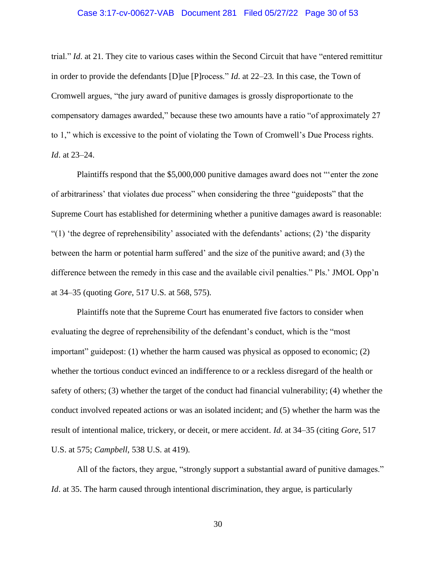### Case 3:17-cv-00627-VAB Document 281 Filed 05/27/22 Page 30 of 53

trial." *Id*. at 21. They cite to various cases within the Second Circuit that have "entered remittitur in order to provide the defendants [D]ue [P]rocess." *Id*. at 22–23. In this case, the Town of Cromwell argues, "the jury award of punitive damages is grossly disproportionate to the compensatory damages awarded," because these two amounts have a ratio "of approximately 27 to 1," which is excessive to the point of violating the Town of Cromwell's Due Process rights. *Id*. at 23–24.

Plaintiffs respond that the \$5,000,000 punitive damages award does not "'enter the zone of arbitrariness' that violates due process" when considering the three "guideposts" that the Supreme Court has established for determining whether a punitive damages award is reasonable: "(1) 'the degree of reprehensibility' associated with the defendants' actions; (2) 'the disparity between the harm or potential harm suffered' and the size of the punitive award; and (3) the difference between the remedy in this case and the available civil penalties." Pls.' JMOL Opp'n at 34–35 (quoting *Gore*, 517 U.S. at 568, 575).

Plaintiffs note that the Supreme Court has enumerated five factors to consider when evaluating the degree of reprehensibility of the defendant's conduct, which is the "most important" guidepost: (1) whether the harm caused was physical as opposed to economic; (2) whether the tortious conduct evinced an indifference to or a reckless disregard of the health or safety of others; (3) whether the target of the conduct had financial vulnerability; (4) whether the conduct involved repeated actions or was an isolated incident; and (5) whether the harm was the result of intentional malice, trickery, or deceit, or mere accident. *Id*. at 34–35 (citing *Gore*, 517 U.S. at 575; *Campbell*, 538 U.S. at 419).

All of the factors, they argue, "strongly support a substantial award of punitive damages." *Id.* at 35. The harm caused through intentional discrimination, they argue, is particularly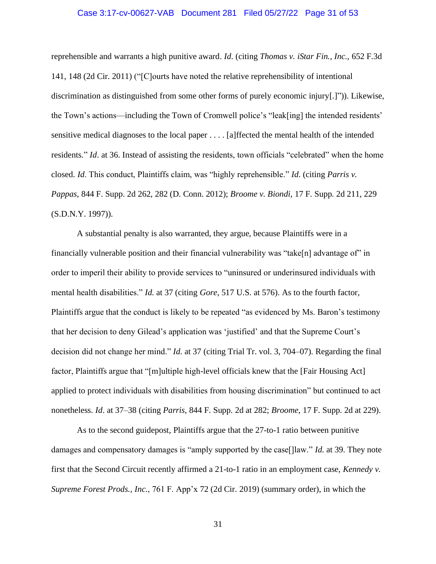### Case 3:17-cv-00627-VAB Document 281 Filed 05/27/22 Page 31 of 53

reprehensible and warrants a high punitive award. *Id*. (citing *Thomas v. iStar Fin., Inc.*, 652 F.3d 141, 148 (2d Cir. 2011) ("[C]ourts have noted the relative reprehensibility of intentional discrimination as distinguished from some other forms of purely economic injury[.]")). Likewise, the Town's actions—including the Town of Cromwell police's "leak[ing] the intended residents' sensitive medical diagnoses to the local paper . . . . [a]ffected the mental health of the intended residents." *Id*. at 36. Instead of assisting the residents, town officials "celebrated" when the home closed. *Id*. This conduct, Plaintiffs claim, was "highly reprehensible." *Id*. (citing *Parris v. Pappas*, 844 F. Supp. 2d 262, 282 (D. Conn. 2012); *Broome v. Biondi*, 17 F. Supp. 2d 211, 229 (S.D.N.Y. 1997)).

A substantial penalty is also warranted, they argue, because Plaintiffs were in a financially vulnerable position and their financial vulnerability was "take[n] advantage of" in order to imperil their ability to provide services to "uninsured or underinsured individuals with mental health disabilities." *Id*. at 37 (citing *Gore*, 517 U.S. at 576). As to the fourth factor, Plaintiffs argue that the conduct is likely to be repeated "as evidenced by Ms. Baron's testimony that her decision to deny Gilead's application was 'justified' and that the Supreme Court's decision did not change her mind." *Id*. at 37 (citing Trial Tr. vol. 3, 704–07). Regarding the final factor, Plaintiffs argue that "[m]ultiple high-level officials knew that the [Fair Housing Act] applied to protect individuals with disabilities from housing discrimination" but continued to act nonetheless. *Id*. at 37–38 (citing *Parris*, 844 F. Supp. 2d at 282; *Broome*, 17 F. Supp. 2d at 229).

As to the second guidepost, Plaintiffs argue that the 27-to-1 ratio between punitive damages and compensatory damages is "amply supported by the case[]law." *Id*. at 39. They note first that the Second Circuit recently affirmed a 21-to-1 ratio in an employment case, *Kennedy v. Supreme Forest Prods., Inc.*, 761 F. App'x 72 (2d Cir. 2019) (summary order), in which the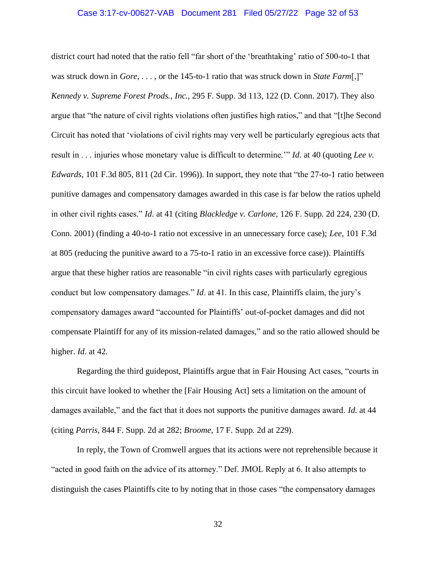### Case 3:17-cv-00627-VAB Document 281 Filed 05/27/22 Page 32 of 53

district court had noted that the ratio fell "far short of the 'breathtaking' ratio of 500-to-1 that was struck down in *Gore*, . . . , or the 145-to-1 ratio that was struck down in *State Farm*[,]" *Kennedy v. Supreme Forest Prods., Inc.*, 295 F. Supp. 3d 113, 122 (D. Conn. 2017). They also argue that "the nature of civil rights violations often justifies high ratios," and that "[t]he Second Circuit has noted that 'violations of civil rights may very well be particularly egregious acts that result in . . . injuries whose monetary value is difficult to determine.'" *Id*. at 40 (quoting *Lee v. Edwards*, 101 F.3d 805, 811 (2d Cir. 1996)). In support, they note that "the 27-to-1 ratio between punitive damages and compensatory damages awarded in this case is far below the ratios upheld in other civil rights cases." *Id*. at 41 (citing *Blackledge v. Carlone*, 126 F. Supp. 2d 224, 230 (D. Conn. 2001) (finding a 40-to-1 ratio not excessive in an unnecessary force case); *Lee*, 101 F.3d at 805 (reducing the punitive award to a 75-to-1 ratio in an excessive force case)). Plaintiffs argue that these higher ratios are reasonable "in civil rights cases with particularly egregious conduct but low compensatory damages." *Id*. at 41. In this case, Plaintiffs claim, the jury's compensatory damages award "accounted for Plaintiffs' out-of-pocket damages and did not compensate Plaintiff for any of its mission-related damages," and so the ratio allowed should be higher. *Id*. at 42.

Regarding the third guidepost, Plaintiffs argue that in Fair Housing Act cases, "courts in this circuit have looked to whether the [Fair Housing Act] sets a limitation on the amount of damages available," and the fact that it does not supports the punitive damages award. *Id*. at 44 (citing *Parris*, 844 F. Supp. 2d at 282; *Broome*, 17 F. Supp. 2d at 229).

In reply, the Town of Cromwell argues that its actions were not reprehensible because it "acted in good faith on the advice of its attorney." Def. JMOL Reply at 6. It also attempts to distinguish the cases Plaintiffs cite to by noting that in those cases "the compensatory damages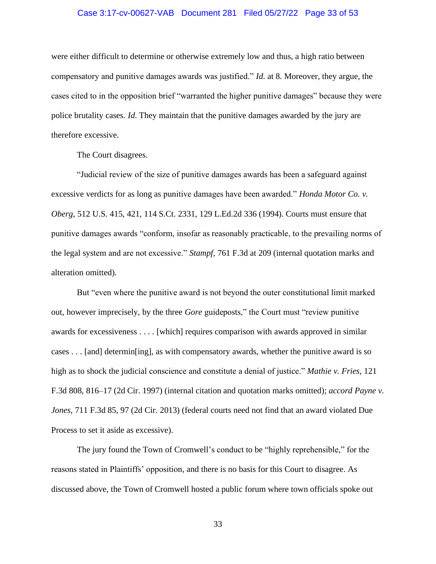### Case 3:17-cv-00627-VAB Document 281 Filed 05/27/22 Page 33 of 53

were either difficult to determine or otherwise extremely low and thus, a high ratio between compensatory and punitive damages awards was justified." *Id*. at 8. Moreover, they argue, the cases cited to in the opposition brief "warranted the higher punitive damages" because they were police brutality cases. *Id*. They maintain that the punitive damages awarded by the jury are therefore excessive.

The Court disagrees.

"Judicial review of the size of punitive damages awards has been a safeguard against excessive verdicts for as long as punitive damages have been awarded." *Honda Motor Co. v. Oberg*, 512 U.S. 415, 421, 114 S.Ct. 2331, 129 L.Ed.2d 336 (1994). Courts must ensure that punitive damages awards "conform, insofar as reasonably practicable, to the prevailing norms of the legal system and are not excessive." *Stampf*, 761 F.3d at 209 (internal quotation marks and alteration omitted).

But "even where the punitive award is not beyond the outer constitutional limit marked out, however imprecisely, by the three *Gore* guideposts," the Court must "review punitive awards for excessiveness . . . . [which] requires comparison with awards approved in similar cases . . . [and] determin[ing], as with compensatory awards, whether the punitive award is so high as to shock the judicial conscience and constitute a denial of justice." *Mathie v. Fries*, 121 F.3d 808, 816–17 (2d Cir. 1997) (internal citation and quotation marks omitted); *accord Payne v. Jones*, 711 F.3d 85, 97 (2d Cir. 2013) (federal courts need not find that an award violated Due Process to set it aside as excessive).

The jury found the Town of Cromwell's conduct to be "highly reprehensible," for the reasons stated in Plaintiffs' opposition, and there is no basis for this Court to disagree. As discussed above, the Town of Cromwell hosted a public forum where town officials spoke out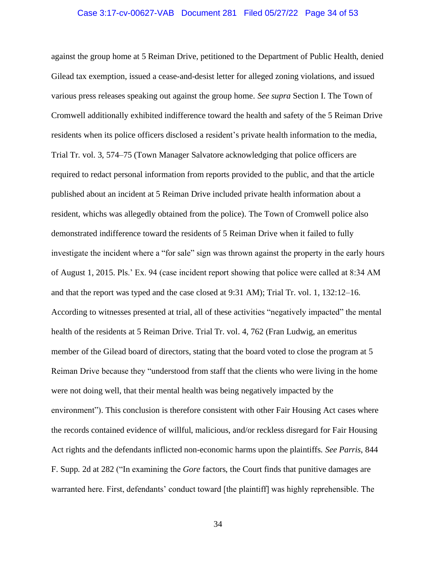### Case 3:17-cv-00627-VAB Document 281 Filed 05/27/22 Page 34 of 53

against the group home at 5 Reiman Drive, petitioned to the Department of Public Health, denied Gilead tax exemption, issued a cease-and-desist letter for alleged zoning violations, and issued various press releases speaking out against the group home. *See supra* Section I. The Town of Cromwell additionally exhibited indifference toward the health and safety of the 5 Reiman Drive residents when its police officers disclosed a resident's private health information to the media, Trial Tr. vol. 3, 574–75 (Town Manager Salvatore acknowledging that police officers are required to redact personal information from reports provided to the public, and that the article published about an incident at 5 Reiman Drive included private health information about a resident, whichs was allegedly obtained from the police). The Town of Cromwell police also demonstrated indifference toward the residents of 5 Reiman Drive when it failed to fully investigate the incident where a "for sale" sign was thrown against the property in the early hours of August 1, 2015. Pls.' Ex. 94 (case incident report showing that police were called at 8:34 AM and that the report was typed and the case closed at 9:31 AM); Trial Tr. vol. 1, 132:12–16. According to witnesses presented at trial, all of these activities "negatively impacted" the mental health of the residents at 5 Reiman Drive. Trial Tr. vol. 4, 762 (Fran Ludwig, an emeritus member of the Gilead board of directors, stating that the board voted to close the program at 5 Reiman Drive because they "understood from staff that the clients who were living in the home were not doing well, that their mental health was being negatively impacted by the environment"). This conclusion is therefore consistent with other Fair Housing Act cases where the records contained evidence of willful, malicious, and/or reckless disregard for Fair Housing Act rights and the defendants inflicted non-economic harms upon the plaintiffs. *See Parris*, 844 F. Supp. 2d at 282 ("In examining the *Gore* factors, the Court finds that punitive damages are warranted here. First, defendants' conduct toward [the plaintiff] was highly reprehensible. The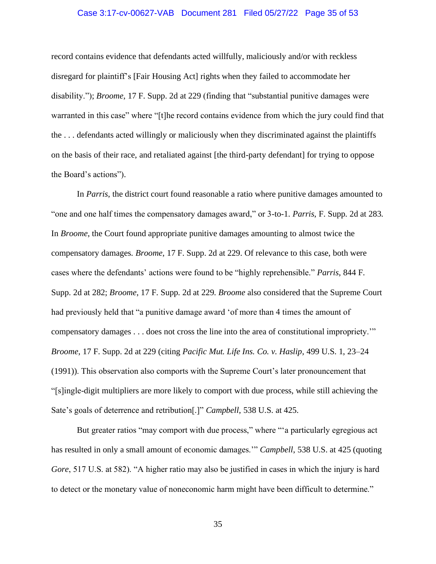### Case 3:17-cv-00627-VAB Document 281 Filed 05/27/22 Page 35 of 53

record contains evidence that defendants acted willfully, maliciously and/or with reckless disregard for plaintiff's [Fair Housing Act] rights when they failed to accommodate her disability."); *Broome*, 17 F. Supp. 2d at 229 (finding that "substantial punitive damages were warranted in this case" where "[t]he record contains evidence from which the jury could find that the . . . defendants acted willingly or maliciously when they discriminated against the plaintiffs on the basis of their race, and retaliated against [the third-party defendant] for trying to oppose the Board's actions").

In *Parris*, the district court found reasonable a ratio where punitive damages amounted to "one and one half times the compensatory damages award," or 3-to-1. *Parris*, F. Supp. 2d at 283. In *Broome*, the Court found appropriate punitive damages amounting to almost twice the compensatory damages. *Broome*, 17 F. Supp. 2d at 229. Of relevance to this case, both were cases where the defendants' actions were found to be "highly reprehensible." *Parris*, 844 F. Supp. 2d at 282; *Broome*, 17 F. Supp. 2d at 229. *Broome* also considered that the Supreme Court had previously held that "a punitive damage award 'of more than 4 times the amount of compensatory damages . . . does not cross the line into the area of constitutional impropriety.'" *Broome*, 17 F. Supp. 2d at 229 (citing *Pacific Mut. Life Ins. Co. v. Haslip*, 499 U.S. 1, 23–24 (1991)). This observation also comports with the Supreme Court's later pronouncement that "[s]ingle-digit multipliers are more likely to comport with due process, while still achieving the Sate's goals of deterrence and retribution[.]" *Campbell*, 538 U.S. at 425.

But greater ratios "may comport with due process," where ""a particularly egregious act has resulted in only a small amount of economic damages.'" *Campbell*, 538 U.S. at 425 (quoting *Gore*, 517 U.S. at 582). "A higher ratio may also be justified in cases in which the injury is hard to detect or the monetary value of noneconomic harm might have been difficult to determine."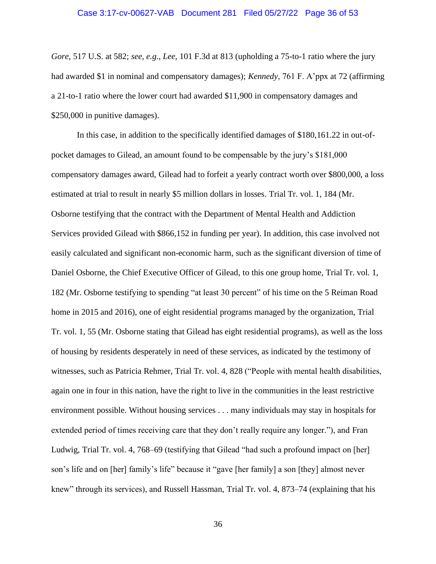### Case 3:17-cv-00627-VAB Document 281 Filed 05/27/22 Page 36 of 53

*Gore*, 517 U.S. at 582; *see, e.g.*, *Lee*, 101 F.3d at 813 (upholding a 75-to-1 ratio where the jury had awarded \$1 in nominal and compensatory damages); *Kennedy*, 761 F. A'ppx at 72 (affirming a 21-to-1 ratio where the lower court had awarded \$11,900 in compensatory damages and \$250,000 in punitive damages).

In this case, in addition to the specifically identified damages of \$180,161.22 in out-ofpocket damages to Gilead, an amount found to be compensable by the jury's \$181,000 compensatory damages award, Gilead had to forfeit a yearly contract worth over \$800,000, a loss estimated at trial to result in nearly \$5 million dollars in losses. Trial Tr. vol. 1, 184 (Mr. Osborne testifying that the contract with the Department of Mental Health and Addiction Services provided Gilead with \$866,152 in funding per year). In addition, this case involved not easily calculated and significant non-economic harm, such as the significant diversion of time of Daniel Osborne, the Chief Executive Officer of Gilead, to this one group home, Trial Tr. vol. 1, 182 (Mr. Osborne testifying to spending "at least 30 percent" of his time on the 5 Reiman Road home in 2015 and 2016), one of eight residential programs managed by the organization, Trial Tr. vol. 1, 55 (Mr. Osborne stating that Gilead has eight residential programs), as well as the loss of housing by residents desperately in need of these services, as indicated by the testimony of witnesses, such as Patricia Rehmer, Trial Tr. vol. 4, 828 ("People with mental health disabilities, again one in four in this nation, have the right to live in the communities in the least restrictive environment possible. Without housing services . . . many individuals may stay in hospitals for extended period of times receiving care that they don't really require any longer."), and Fran Ludwig, Trial Tr. vol. 4, 768–69 (testifying that Gilead "had such a profound impact on [her] son's life and on [her] family's life" because it "gave [her family] a son [they] almost never knew" through its services), and Russell Hassman, Trial Tr. vol. 4, 873–74 (explaining that his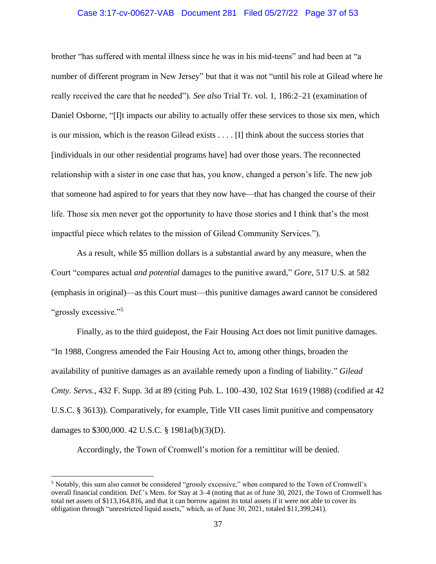### Case 3:17-cv-00627-VAB Document 281 Filed 05/27/22 Page 37 of 53

brother "has suffered with mental illness since he was in his mid-teens" and had been at "a number of different program in New Jersey" but that it was not "until his role at Gilead where he really received the care that he needed"). *See also* Trial Tr. vol. 1, 186:2–21 (examination of Daniel Osborne, "[I]t impacts our ability to actually offer these services to those six men, which is our mission, which is the reason Gilead exists . . . . [I] think about the success stories that [individuals in our other residential programs have] had over those years. The reconnected relationship with a sister in one case that has, you know, changed a person's life. The new job that someone had aspired to for years that they now have—that has changed the course of their life. Those six men never got the opportunity to have those stories and I think that's the most impactful piece which relates to the mission of Gilead Community Services.").

As a result, while \$5 million dollars is a substantial award by any measure, when the Court "compares actual *and potential* damages to the punitive award," *Gore*, 517 U.S. at 582 (emphasis in original)—as this Court must—this punitive damages award cannot be considered "grossly excessive."<sup>5</sup>

Finally, as to the third guidepost, the Fair Housing Act does not limit punitive damages. "In 1988, Congress amended the Fair Housing Act to, among other things, broaden the availability of punitive damages as an available remedy upon a finding of liability." *Gilead Cmty. Servs.*, 432 F. Supp. 3d at 89 (citing Pub. L. 100–430, 102 Stat 1619 (1988) (codified at 42 U.S.C. § 3613)). Comparatively, for example, Title VII cases limit punitive and compensatory damages to \$300,000. 42 U.S.C. § 1981a(b)(3)(D).

Accordingly, the Town of Cromwell's motion for a remittitur will be denied.

<sup>5</sup> Notably, this sum also cannot be considered "grossly excessive," when compared to the Town of Cromwell's overall financial condition. Def.'s Mem. for Stay at 3–4 (noting that as of June 30, 2021, the Town of Cromwell has total net assets of \$113,164,816, and that it can borrow against its total assets if it were not able to cover its obligation through "unrestricted liquid assets," which, as of June 30, 2021, totaled \$11,399,241).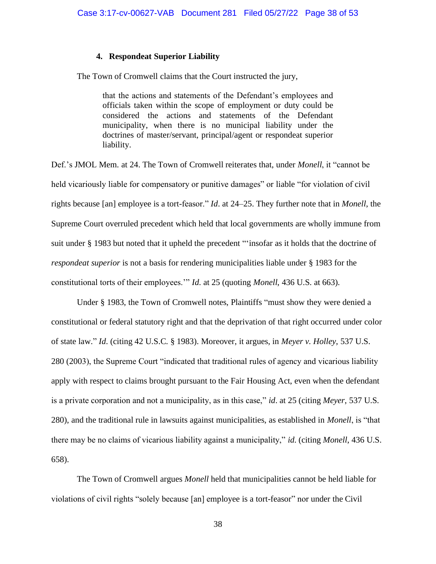### **4. Respondeat Superior Liability**

The Town of Cromwell claims that the Court instructed the jury,

that the actions and statements of the Defendant's employees and officials taken within the scope of employment or duty could be considered the actions and statements of the Defendant municipality, when there is no municipal liability under the doctrines of master/servant, principal/agent or respondeat superior liability.

Def.'s JMOL Mem. at 24. The Town of Cromwell reiterates that, under *Monell*, it "cannot be held vicariously liable for compensatory or punitive damages" or liable "for violation of civil rights because [an] employee is a tort-feasor." *Id*. at 24–25. They further note that in *Monell*, the Supreme Court overruled precedent which held that local governments are wholly immune from suit under § 1983 but noted that it upheld the precedent "'insofar as it holds that the doctrine of *respondeat superior* is not a basis for rendering municipalities liable under § 1983 for the constitutional torts of their employees.'" *Id*. at 25 (quoting *Monell*, 436 U.S. at 663).

Under § 1983, the Town of Cromwell notes, Plaintiffs "must show they were denied a constitutional or federal statutory right and that the deprivation of that right occurred under color of state law." *Id*. (citing 42 U.S.C. § 1983). Moreover, it argues, in *Meyer v. Holley*, 537 U.S. 280 (2003), the Supreme Court "indicated that traditional rules of agency and vicarious liability apply with respect to claims brought pursuant to the Fair Housing Act, even when the defendant is a private corporation and not a municipality, as in this case," *id*. at 25 (citing *Meyer*, 537 U.S. 280), and the traditional rule in lawsuits against municipalities, as established in *Monell*, is "that there may be no claims of vicarious liability against a municipality," *id*. (citing *Monell*, 436 U.S. 658).

The Town of Cromwell argues *Monell* held that municipalities cannot be held liable for violations of civil rights "solely because [an] employee is a tort-feasor" nor under the Civil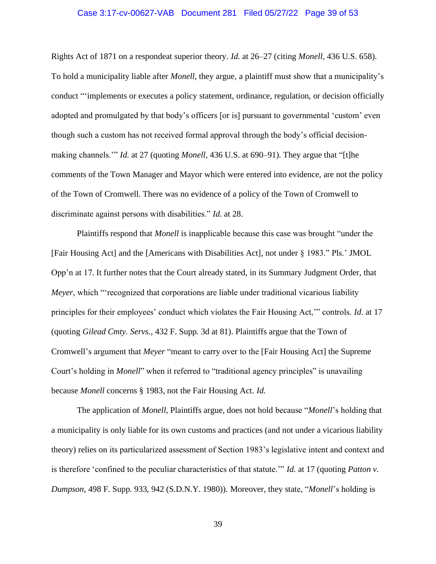### Case 3:17-cv-00627-VAB Document 281 Filed 05/27/22 Page 39 of 53

Rights Act of 1871 on a respondeat superior theory. *Id*. at 26–27 (citing *Monell*, 436 U.S. 658). To hold a municipality liable after *Monell*, they argue, a plaintiff must show that a municipality's conduct "'implements or executes a policy statement, ordinance, regulation, or decision officially adopted and promulgated by that body's officers [or is] pursuant to governmental 'custom' even though such a custom has not received formal approval through the body's official decisionmaking channels.'" *Id*. at 27 (quoting *Monell*, 436 U.S. at 690–91). They argue that "[t]he comments of the Town Manager and Mayor which were entered into evidence, are not the policy of the Town of Cromwell. There was no evidence of a policy of the Town of Cromwell to discriminate against persons with disabilities." *Id*. at 28.

Plaintiffs respond that *Monell* is inapplicable because this case was brought "under the [Fair Housing Act] and the [Americans with Disabilities Act], not under § 1983." Pls.' JMOL Opp'n at 17. It further notes that the Court already stated, in its Summary Judgment Order, that *Meyer*, which "'recognized that corporations are liable under traditional vicarious liability principles for their employees' conduct which violates the Fair Housing Act,'" controls. *Id*. at 17 (quoting *Gilead Cmty. Servs.*, 432 F. Supp. 3d at 81). Plaintiffs argue that the Town of Cromwell's argument that *Meyer* "meant to carry over to the [Fair Housing Act] the Supreme Court's holding in *Monell*" when it referred to "traditional agency principles" is unavailing because *Monell* concerns § 1983, not the Fair Housing Act. *Id*.

The application of *Monell*, Plaintiffs argue, does not hold because "*Monell*'s holding that a municipality is only liable for its own customs and practices (and not under a vicarious liability theory) relies on its particularized assessment of Section 1983's legislative intent and context and is therefore 'confined to the peculiar characteristics of that statute.'" *Id*. at 17 (quoting *Patton v. Dumpson*, 498 F. Supp. 933, 942 (S.D.N.Y. 1980)). Moreover, they state, "*Monell*'s holding is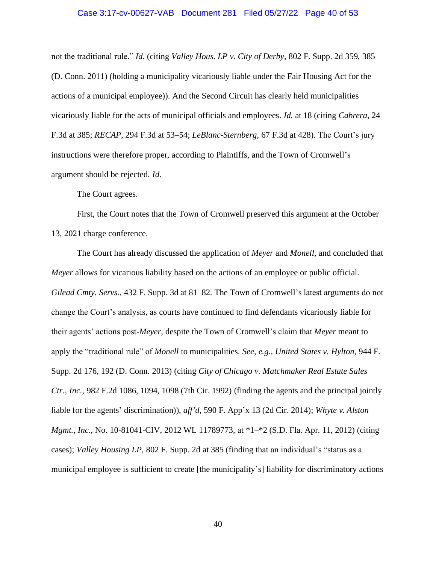#### Case 3:17-cv-00627-VAB Document 281 Filed 05/27/22 Page 40 of 53

not the traditional rule." *Id*. (citing *Valley Hous. LP v. City of Derby*, 802 F. Supp. 2d 359, 385 (D. Conn. 2011) (holding a municipality vicariously liable under the Fair Housing Act for the actions of a municipal employee)). And the Second Circuit has clearly held municipalities vicariously liable for the acts of municipal officials and employees. *Id*. at 18 (citing *Cabrera*, 24 F.3d at 385; *RECAP*, 294 F.3d at 53–54; *LeBlanc-Sternberg*, 67 F.3d at 428). The Court's jury instructions were therefore proper, according to Plaintiffs, and the Town of Cromwell's argument should be rejected. *Id*.

The Court agrees.

First, the Court notes that the Town of Cromwell preserved this argument at the October 13, 2021 charge conference.

The Court has already discussed the application of *Meyer* and *Monell*, and concluded that *Meyer* allows for vicarious liability based on the actions of an employee or public official. *Gilead Cmty. Servs.*, 432 F. Supp. 3d at 81–82. The Town of Cromwell's latest arguments do not change the Court's analysis, as courts have continued to find defendants vicariously liable for their agents' actions post-*Meyer*, despite the Town of Cromwell's claim that *Meyer* meant to apply the "traditional rule" of *Monell* to municipalities. *See, e.g.*, *United States v. Hylton*, 944 F. Supp. 2d 176, 192 (D. Conn. 2013) (citing *City of Chicago v. Matchmaker Real Estate Sales Ctr., Inc.*, 982 F.2d 1086, 1094, 1098 (7th Cir. 1992) (finding the agents and the principal jointly liable for the agents' discrimination)), *aff'd*, 590 F. App'x 13 (2d Cir. 2014); *Whyte v. Alston Mgmt., Inc.*, No. 10-81041-CIV, 2012 WL 11789773, at \*1–\*2 (S.D. Fla. Apr. 11, 2012) (citing cases); *Valley Housing LP*, 802 F. Supp. 2d at 385 (finding that an individual's "status as a municipal employee is sufficient to create [the municipality's] liability for discriminatory actions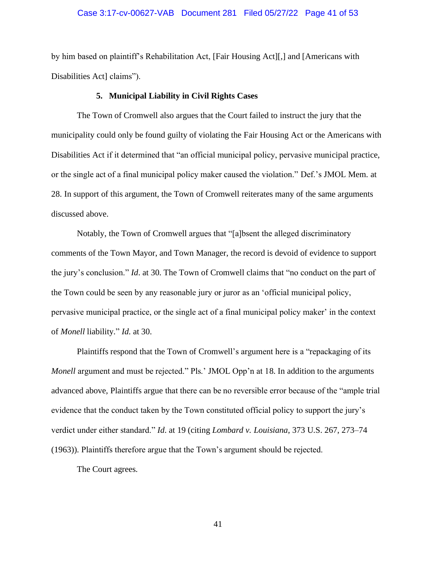### Case 3:17-cv-00627-VAB Document 281 Filed 05/27/22 Page 41 of 53

by him based on plaintiff's Rehabilitation Act, [Fair Housing Act][,] and [Americans with Disabilities Act] claims").

#### **5. Municipal Liability in Civil Rights Cases**

The Town of Cromwell also argues that the Court failed to instruct the jury that the municipality could only be found guilty of violating the Fair Housing Act or the Americans with Disabilities Act if it determined that "an official municipal policy, pervasive municipal practice, or the single act of a final municipal policy maker caused the violation." Def.'s JMOL Mem. at 28. In support of this argument, the Town of Cromwell reiterates many of the same arguments discussed above.

Notably, the Town of Cromwell argues that "[a]bsent the alleged discriminatory comments of the Town Mayor, and Town Manager, the record is devoid of evidence to support the jury's conclusion." *Id*. at 30. The Town of Cromwell claims that "no conduct on the part of the Town could be seen by any reasonable jury or juror as an 'official municipal policy, pervasive municipal practice, or the single act of a final municipal policy maker' in the context of *Monell* liability." *Id*. at 30.

Plaintiffs respond that the Town of Cromwell's argument here is a "repackaging of its *Monell* argument and must be rejected." Pls.' JMOL Opp'n at 18. In addition to the arguments advanced above, Plaintiffs argue that there can be no reversible error because of the "ample trial evidence that the conduct taken by the Town constituted official policy to support the jury's verdict under either standard." *Id*. at 19 (citing *Lombard v. Louisiana*, 373 U.S. 267, 273–74 (1963)). Plaintiffs therefore argue that the Town's argument should be rejected.

The Court agrees.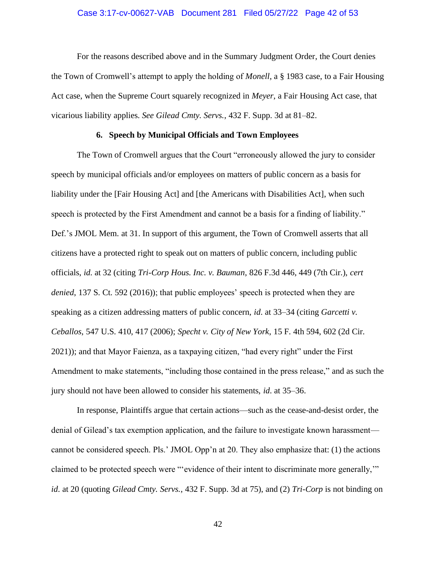### Case 3:17-cv-00627-VAB Document 281 Filed 05/27/22 Page 42 of 53

For the reasons described above and in the Summary Judgment Order, the Court denies the Town of Cromwell's attempt to apply the holding of *Monell*, a § 1983 case, to a Fair Housing Act case, when the Supreme Court squarely recognized in *Meyer*, a Fair Housing Act case, that vicarious liability applies. *See Gilead Cmty. Servs.*, 432 F. Supp. 3d at 81–82.

### **6. Speech by Municipal Officials and Town Employees**

The Town of Cromwell argues that the Court "erroneously allowed the jury to consider speech by municipal officials and/or employees on matters of public concern as a basis for liability under the [Fair Housing Act] and [the Americans with Disabilities Act], when such speech is protected by the First Amendment and cannot be a basis for a finding of liability." Def.'s JMOL Mem. at 31. In support of this argument, the Town of Cromwell asserts that all citizens have a protected right to speak out on matters of public concern, including public officials, *id*. at 32 (citing *Tri-Corp Hous. Inc. v. Bauman*, 826 F.3d 446, 449 (7th Cir.), *cert denied*, 137 S. Ct. 592 (2016)); that public employees' speech is protected when they are speaking as a citizen addressing matters of public concern, *id*. at 33–34 (citing *Garcetti v. Ceballos*, 547 U.S. 410, 417 (2006); *Specht v. City of New York*, 15 F. 4th 594, 602 (2d Cir. 2021)); and that Mayor Faienza, as a taxpaying citizen, "had every right" under the First Amendment to make statements, "including those contained in the press release," and as such the jury should not have been allowed to consider his statements, *id*. at 35–36.

In response, Plaintiffs argue that certain actions—such as the cease-and-desist order, the denial of Gilead's tax exemption application, and the failure to investigate known harassment cannot be considered speech. Pls.' JMOL Opp'n at 20. They also emphasize that: (1) the actions claimed to be protected speech were "'evidence of their intent to discriminate more generally,'" *id*. at 20 (quoting *Gilead Cmty. Servs.*, 432 F. Supp. 3d at 75), and (2) *Tri-Corp* is not binding on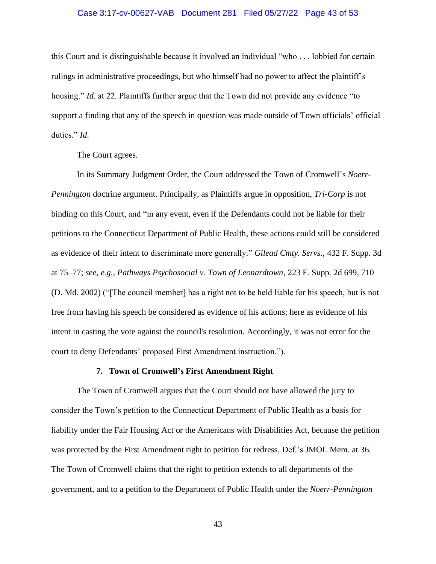### Case 3:17-cv-00627-VAB Document 281 Filed 05/27/22 Page 43 of 53

this Court and is distinguishable because it involved an individual "who . . . lobbied for certain rulings in administrative proceedings, but who himself had no power to affect the plaintiff's housing." *Id*. at 22. Plaintiffs further argue that the Town did not provide any evidence "to support a finding that any of the speech in question was made outside of Town officials' official duties." *Id*.

The Court agrees.

In its Summary Judgment Order, the Court addressed the Town of Cromwell's *Noerr-Pennington* doctrine argument. Principally, as Plaintiffs argue in opposition, *Tri-Corp* is not binding on this Court, and "in any event, even if the Defendants could not be liable for their petitions to the Connecticut Department of Public Health, these actions could still be considered as evidence of their intent to discriminate more generally." *Gilead Cmty. Servs.*, 432 F. Supp. 3d at 75–77; *see, e.g.*, *Pathways Psychosocial v. Town of Leonardtown*, 223 F. Supp. 2d 699, 710 (D. Md. 2002) ("[The council member] has a right not to be held liable for his speech, but is not free from having his speech be considered as evidence of his actions; here as evidence of his intent in casting the vote against the council's resolution. Accordingly, it was not error for the court to deny Defendants' proposed First Amendment instruction.").

### **7. Town of Cromwell's First Amendment Right**

The Town of Cromwell argues that the Court should not have allowed the jury to consider the Town's petition to the Connecticut Department of Public Health as a basis for liability under the Fair Housing Act or the Americans with Disabilities Act, because the petition was protected by the First Amendment right to petition for redress. Def.'s JMOL Mem. at 36. The Town of Cromwell claims that the right to petition extends to all departments of the government, and to a petition to the Department of Public Health under the *Noerr-Pennington*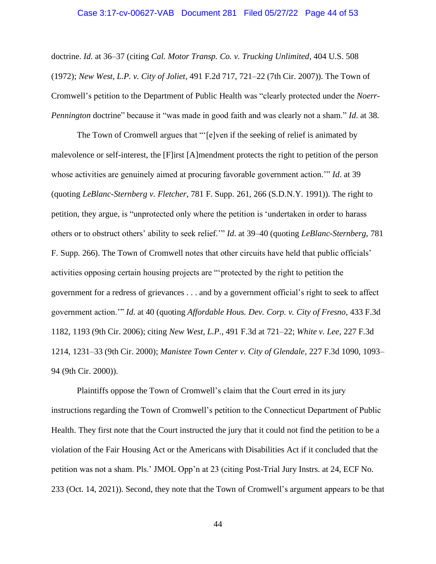#### Case 3:17-cv-00627-VAB Document 281 Filed 05/27/22 Page 44 of 53

doctrine. *Id*. at 36–37 (citing *Cal. Motor Transp. Co. v. Trucking Unlimited*, 404 U.S. 508 (1972); *New West, L.P. v. City of Joliet*, 491 F.2d 717, 721–22 (7th Cir. 2007)). The Town of Cromwell's petition to the Department of Public Health was "clearly protected under the *Noerr-Pennington* doctrine" because it "was made in good faith and was clearly not a sham." *Id*. at 38.

The Town of Cromwell argues that "'[e]ven if the seeking of relief is animated by malevolence or self-interest, the [F]irst [A]mendment protects the right to petition of the person whose activities are genuinely aimed at procuring favorable government action.'" *Id*. at 39 (quoting *LeBlanc-Sternberg v. Fletcher*, 781 F. Supp. 261, 266 (S.D.N.Y. 1991)). The right to petition, they argue, is "unprotected only where the petition is 'undertaken in order to harass others or to obstruct others' ability to seek relief.'" *Id*. at 39–40 (quoting *LeBlanc-Sternberg*, 781 F. Supp. 266). The Town of Cromwell notes that other circuits have held that public officials' activities opposing certain housing projects are "'protected by the right to petition the government for a redress of grievances . . . and by a government official's right to seek to affect government action.'" *Id*. at 40 (quoting *Affordable Hous. Dev. Corp. v. City of Fresno*, 433 F.3d 1182, 1193 (9th Cir. 2006); citing *New West, L.P.*, 491 F.3d at 721–22; *White v. Lee*, 227 F.3d 1214, 1231–33 (9th Cir. 2000); *Manistee Town Center v. City of Glendale*, 227 F.3d 1090, 1093– 94 (9th Cir. 2000)).

Plaintiffs oppose the Town of Cromwell's claim that the Court erred in its jury instructions regarding the Town of Cromwell's petition to the Connecticut Department of Public Health. They first note that the Court instructed the jury that it could not find the petition to be a violation of the Fair Housing Act or the Americans with Disabilities Act if it concluded that the petition was not a sham. Pls.' JMOL Opp'n at 23 (citing Post-Trial Jury Instrs. at 24, ECF No. 233 (Oct. 14, 2021)). Second, they note that the Town of Cromwell's argument appears to be that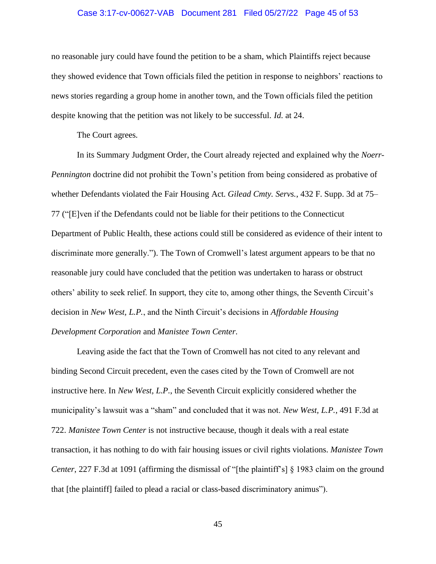### Case 3:17-cv-00627-VAB Document 281 Filed 05/27/22 Page 45 of 53

no reasonable jury could have found the petition to be a sham, which Plaintiffs reject because they showed evidence that Town officials filed the petition in response to neighbors' reactions to news stories regarding a group home in another town, and the Town officials filed the petition despite knowing that the petition was not likely to be successful. *Id*. at 24.

The Court agrees.

In its Summary Judgment Order, the Court already rejected and explained why the *Noerr-Pennington* doctrine did not prohibit the Town's petition from being considered as probative of whether Defendants violated the Fair Housing Act. *Gilead Cmty. Servs.*, 432 F. Supp. 3d at 75– 77 ("[E]ven if the Defendants could not be liable for their petitions to the Connecticut Department of Public Health, these actions could still be considered as evidence of their intent to discriminate more generally."). The Town of Cromwell's latest argument appears to be that no reasonable jury could have concluded that the petition was undertaken to harass or obstruct others' ability to seek relief. In support, they cite to, among other things, the Seventh Circuit's decision in *New West, L.P.*, and the Ninth Circuit's decisions in *Affordable Housing Development Corporation* and *Manistee Town Center*.

Leaving aside the fact that the Town of Cromwell has not cited to any relevant and binding Second Circuit precedent, even the cases cited by the Town of Cromwell are not instructive here. In *New West, L.P.*, the Seventh Circuit explicitly considered whether the municipality's lawsuit was a "sham" and concluded that it was not. *New West, L.P.*, 491 F.3d at 722. *Manistee Town Center* is not instructive because, though it deals with a real estate transaction, it has nothing to do with fair housing issues or civil rights violations. *Manistee Town Center*, 227 F.3d at 1091 (affirming the dismissal of "[the plaintiff's] § 1983 claim on the ground that [the plaintiff] failed to plead a racial or class-based discriminatory animus").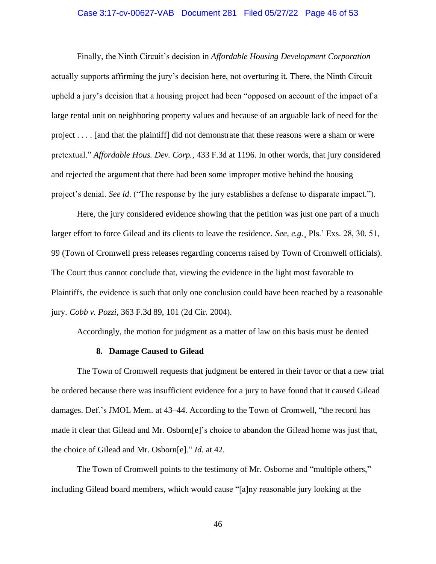### Case 3:17-cv-00627-VAB Document 281 Filed 05/27/22 Page 46 of 53

Finally, the Ninth Circuit's decision in *Affordable Housing Development Corporation* actually supports affirming the jury's decision here, not overturing it. There, the Ninth Circuit upheld a jury's decision that a housing project had been "opposed on account of the impact of a large rental unit on neighboring property values and because of an arguable lack of need for the project . . . . [and that the plaintiff] did not demonstrate that these reasons were a sham or were pretextual." *Affordable Hous. Dev. Corp.*, 433 F.3d at 1196. In other words, that jury considered and rejected the argument that there had been some improper motive behind the housing project's denial. *See id*. ("The response by the jury establishes a defense to disparate impact.").

Here, the jury considered evidence showing that the petition was just one part of a much larger effort to force Gilead and its clients to leave the residence. *See, e.g.¸* Pls.' Exs. 28, 30, 51, 99 (Town of Cromwell press releases regarding concerns raised by Town of Cromwell officials). The Court thus cannot conclude that, viewing the evidence in the light most favorable to Plaintiffs, the evidence is such that only one conclusion could have been reached by a reasonable jury. *Cobb v. Pozzi*, 363 F.3d 89, 101 (2d Cir. 2004).

Accordingly, the motion for judgment as a matter of law on this basis must be denied

#### **8. Damage Caused to Gilead**

The Town of Cromwell requests that judgment be entered in their favor or that a new trial be ordered because there was insufficient evidence for a jury to have found that it caused Gilead damages. Def.'s JMOL Mem. at 43–44. According to the Town of Cromwell, "the record has made it clear that Gilead and Mr. Osborn[e]'s choice to abandon the Gilead home was just that, the choice of Gilead and Mr. Osborn[e]." *Id*. at 42.

The Town of Cromwell points to the testimony of Mr. Osborne and "multiple others," including Gilead board members, which would cause "[a]ny reasonable jury looking at the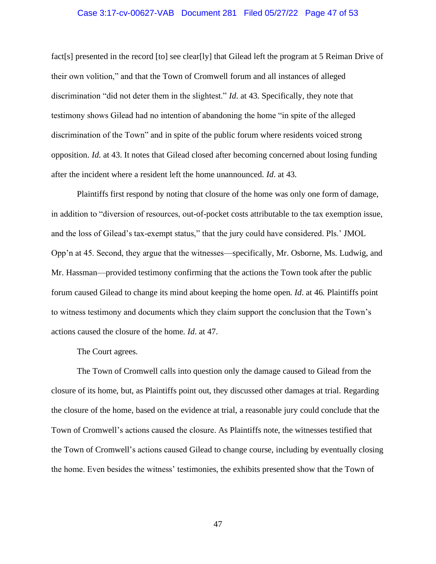### Case 3:17-cv-00627-VAB Document 281 Filed 05/27/22 Page 47 of 53

fact[s] presented in the record [to] see clear[ly] that Gilead left the program at 5 Reiman Drive of their own volition," and that the Town of Cromwell forum and all instances of alleged discrimination "did not deter them in the slightest." *Id*. at 43. Specifically, they note that testimony shows Gilead had no intention of abandoning the home "in spite of the alleged discrimination of the Town" and in spite of the public forum where residents voiced strong opposition. *Id*. at 43. It notes that Gilead closed after becoming concerned about losing funding after the incident where a resident left the home unannounced. *Id*. at 43.

Plaintiffs first respond by noting that closure of the home was only one form of damage, in addition to "diversion of resources, out-of-pocket costs attributable to the tax exemption issue, and the loss of Gilead's tax-exempt status," that the jury could have considered. Pls.' JMOL Opp'n at 45. Second, they argue that the witnesses—specifically, Mr. Osborne, Ms. Ludwig, and Mr. Hassman—provided testimony confirming that the actions the Town took after the public forum caused Gilead to change its mind about keeping the home open. *Id*. at 46. Plaintiffs point to witness testimony and documents which they claim support the conclusion that the Town's actions caused the closure of the home. *Id*. at 47.

The Court agrees.

The Town of Cromwell calls into question only the damage caused to Gilead from the closure of its home, but, as Plaintiffs point out, they discussed other damages at trial. Regarding the closure of the home, based on the evidence at trial, a reasonable jury could conclude that the Town of Cromwell's actions caused the closure. As Plaintiffs note, the witnesses testified that the Town of Cromwell's actions caused Gilead to change course, including by eventually closing the home. Even besides the witness' testimonies, the exhibits presented show that the Town of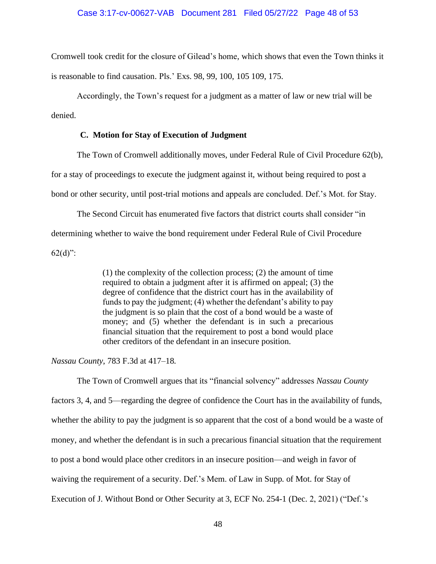### Case 3:17-cv-00627-VAB Document 281 Filed 05/27/22 Page 48 of 53

Cromwell took credit for the closure of Gilead's home, which shows that even the Town thinks it is reasonable to find causation. Pls.' Exs. 98, 99, 100, 105 109, 175.

Accordingly, the Town's request for a judgment as a matter of law or new trial will be denied.

## **C. Motion for Stay of Execution of Judgment**

The Town of Cromwell additionally moves, under Federal Rule of Civil Procedure 62(b),

for a stay of proceedings to execute the judgment against it, without being required to post a

bond or other security, until post-trial motions and appeals are concluded. Def.'s Mot. for Stay.

The Second Circuit has enumerated five factors that district courts shall consider "in determining whether to waive the bond requirement under Federal Rule of Civil Procedure  $62(d)$ ":

> (1) the complexity of the collection process; (2) the amount of time required to obtain a judgment after it is affirmed on appeal; (3) the degree of confidence that the district court has in the availability of funds to pay the judgment; (4) whether the defendant's ability to pay the judgment is so plain that the cost of a bond would be a waste of money; and (5) whether the defendant is in such a precarious financial situation that the requirement to post a bond would place other creditors of the defendant in an insecure position.

*Nassau County*, 783 F.3d at 417–18.

The Town of Cromwell argues that its "financial solvency" addresses *Nassau County* factors 3, 4, and 5—regarding the degree of confidence the Court has in the availability of funds, whether the ability to pay the judgment is so apparent that the cost of a bond would be a waste of money, and whether the defendant is in such a precarious financial situation that the requirement to post a bond would place other creditors in an insecure position—and weigh in favor of waiving the requirement of a security. Def.'s Mem. of Law in Supp. of Mot. for Stay of Execution of J. Without Bond or Other Security at 3, ECF No. 254-1 (Dec. 2, 2021) ("Def.'s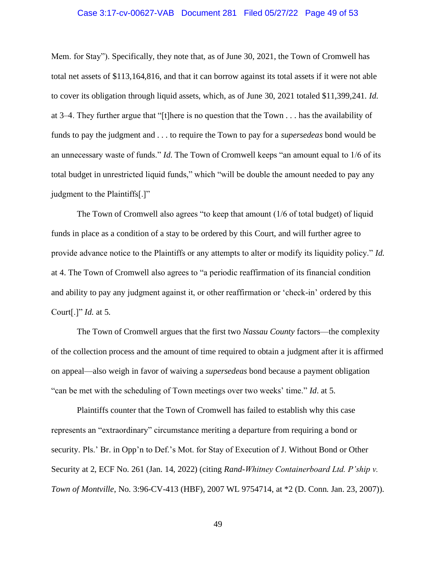### Case 3:17-cv-00627-VAB Document 281 Filed 05/27/22 Page 49 of 53

Mem. for Stay"). Specifically, they note that, as of June 30, 2021, the Town of Cromwell has total net assets of \$113,164,816, and that it can borrow against its total assets if it were not able to cover its obligation through liquid assets, which, as of June 30, 2021 totaled \$11,399,241. *Id*. at 3–4. They further argue that "[t]here is no question that the Town . . . has the availability of funds to pay the judgment and . . . to require the Town to pay for a *supersedeas* bond would be an unnecessary waste of funds." *Id*. The Town of Cromwell keeps "an amount equal to 1/6 of its total budget in unrestricted liquid funds," which "will be double the amount needed to pay any judgment to the Plaintiffs[.]"

The Town of Cromwell also agrees "to keep that amount (1/6 of total budget) of liquid funds in place as a condition of a stay to be ordered by this Court, and will further agree to provide advance notice to the Plaintiffs or any attempts to alter or modify its liquidity policy." *Id*. at 4. The Town of Cromwell also agrees to "a periodic reaffirmation of its financial condition and ability to pay any judgment against it, or other reaffirmation or 'check-in' ordered by this Court[.]" *Id*. at 5.

The Town of Cromwell argues that the first two *Nassau County* factors—the complexity of the collection process and the amount of time required to obtain a judgment after it is affirmed on appeal—also weigh in favor of waiving a *supersedeas* bond because a payment obligation "can be met with the scheduling of Town meetings over two weeks' time." *Id*. at 5.

Plaintiffs counter that the Town of Cromwell has failed to establish why this case represents an "extraordinary" circumstance meriting a departure from requiring a bond or security. Pls.' Br. in Opp'n to Def.'s Mot. for Stay of Execution of J. Without Bond or Other Security at 2, ECF No. 261 (Jan. 14, 2022) (citing *Rand-Whitney Containerboard Ltd. P'ship v. Town of Montville*, No. 3:96-CV-413 (HBF), 2007 WL 9754714, at \*2 (D. Conn. Jan. 23, 2007)).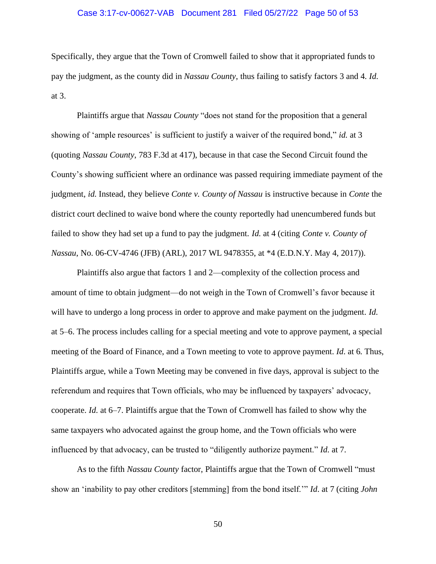### Case 3:17-cv-00627-VAB Document 281 Filed 05/27/22 Page 50 of 53

Specifically, they argue that the Town of Cromwell failed to show that it appropriated funds to pay the judgment, as the county did in *Nassau County*, thus failing to satisfy factors 3 and 4. *Id*. at 3.

Plaintiffs argue that *Nassau County* "does not stand for the proposition that a general showing of 'ample resources' is sufficient to justify a waiver of the required bond," *id*. at 3 (quoting *Nassau County*, 783 F.3d at 417), because in that case the Second Circuit found the County's showing sufficient where an ordinance was passed requiring immediate payment of the judgment, *id*. Instead, they believe *Conte v. County of Nassau* is instructive because in *Conte* the district court declined to waive bond where the county reportedly had unencumbered funds but failed to show they had set up a fund to pay the judgment. *Id*. at 4 (citing *Conte v. County of Nassau*, No. 06-CV-4746 (JFB) (ARL), 2017 WL 9478355, at \*4 (E.D.N.Y. May 4, 2017)).

Plaintiffs also argue that factors 1 and 2—complexity of the collection process and amount of time to obtain judgment—do not weigh in the Town of Cromwell's favor because it will have to undergo a long process in order to approve and make payment on the judgment. *Id*. at 5–6. The process includes calling for a special meeting and vote to approve payment, a special meeting of the Board of Finance, and a Town meeting to vote to approve payment. *Id*. at 6. Thus, Plaintiffs argue, while a Town Meeting may be convened in five days, approval is subject to the referendum and requires that Town officials, who may be influenced by taxpayers' advocacy, cooperate. *Id*. at 6–7. Plaintiffs argue that the Town of Cromwell has failed to show why the same taxpayers who advocated against the group home, and the Town officials who were influenced by that advocacy, can be trusted to "diligently authorize payment." *Id*. at 7.

As to the fifth *Nassau County* factor, Plaintiffs argue that the Town of Cromwell "must show an 'inability to pay other creditors [stemming] from the bond itself.'" *Id*. at 7 (citing *John*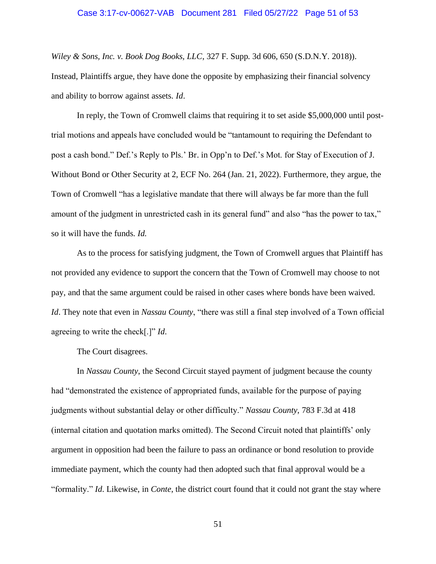#### Case 3:17-cv-00627-VAB Document 281 Filed 05/27/22 Page 51 of 53

*Wiley & Sons, Inc. v. Book Dog Books, LLC*, 327 F. Supp. 3d 606, 650 (S.D.N.Y. 2018)). Instead, Plaintiffs argue, they have done the opposite by emphasizing their financial solvency and ability to borrow against assets. *Id*.

In reply, the Town of Cromwell claims that requiring it to set aside \$5,000,000 until posttrial motions and appeals have concluded would be "tantamount to requiring the Defendant to post a cash bond." Def.'s Reply to Pls.' Br. in Opp'n to Def.'s Mot. for Stay of Execution of J. Without Bond or Other Security at 2, ECF No. 264 (Jan. 21, 2022). Furthermore, they argue, the Town of Cromwell "has a legislative mandate that there will always be far more than the full amount of the judgment in unrestricted cash in its general fund" and also "has the power to tax," so it will have the funds. *Id*.

As to the process for satisfying judgment, the Town of Cromwell argues that Plaintiff has not provided any evidence to support the concern that the Town of Cromwell may choose to not pay, and that the same argument could be raised in other cases where bonds have been waived. *Id*. They note that even in *Nassau County*, "there was still a final step involved of a Town official agreeing to write the check[.]" *Id*.

The Court disagrees.

In *Nassau County*, the Second Circuit stayed payment of judgment because the county had "demonstrated the existence of appropriated funds, available for the purpose of paying judgments without substantial delay or other difficulty." *Nassau County*, 783 F.3d at 418 (internal citation and quotation marks omitted). The Second Circuit noted that plaintiffs' only argument in opposition had been the failure to pass an ordinance or bond resolution to provide immediate payment, which the county had then adopted such that final approval would be a "formality." *Id*. Likewise, in *Conte*, the district court found that it could not grant the stay where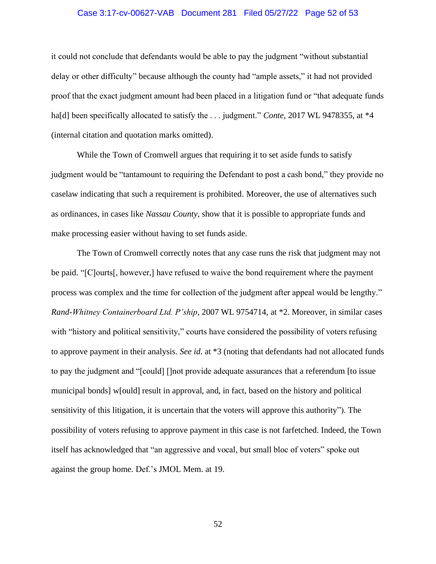### Case 3:17-cv-00627-VAB Document 281 Filed 05/27/22 Page 52 of 53

it could not conclude that defendants would be able to pay the judgment "without substantial delay or other difficulty" because although the county had "ample assets," it had not provided proof that the exact judgment amount had been placed in a litigation fund or "that adequate funds ha[d] been specifically allocated to satisfy the . . . judgment." *Conte*, 2017 WL 9478355, at \*4 (internal citation and quotation marks omitted).

While the Town of Cromwell argues that requiring it to set aside funds to satisfy judgment would be "tantamount to requiring the Defendant to post a cash bond," they provide no caselaw indicating that such a requirement is prohibited. Moreover, the use of alternatives such as ordinances, in cases like *Nassau County*, show that it is possible to appropriate funds and make processing easier without having to set funds aside.

The Town of Cromwell correctly notes that any case runs the risk that judgment may not be paid. "[C]ourts[, however,] have refused to waive the bond requirement where the payment process was complex and the time for collection of the judgment after appeal would be lengthy." *Rand-Whitney Containerboard Ltd. P'ship*, 2007 WL 9754714, at \*2. Moreover, in similar cases with "history and political sensitivity," courts have considered the possibility of voters refusing to approve payment in their analysis. *See id*. at \*3 (noting that defendants had not allocated funds to pay the judgment and "[could] []not provide adequate assurances that a referendum [to issue municipal bonds] w[ould] result in approval, and, in fact, based on the history and political sensitivity of this litigation, it is uncertain that the voters will approve this authority"). The possibility of voters refusing to approve payment in this case is not farfetched. Indeed, the Town itself has acknowledged that "an aggressive and vocal, but small bloc of voters" spoke out against the group home. Def.'s JMOL Mem. at 19.